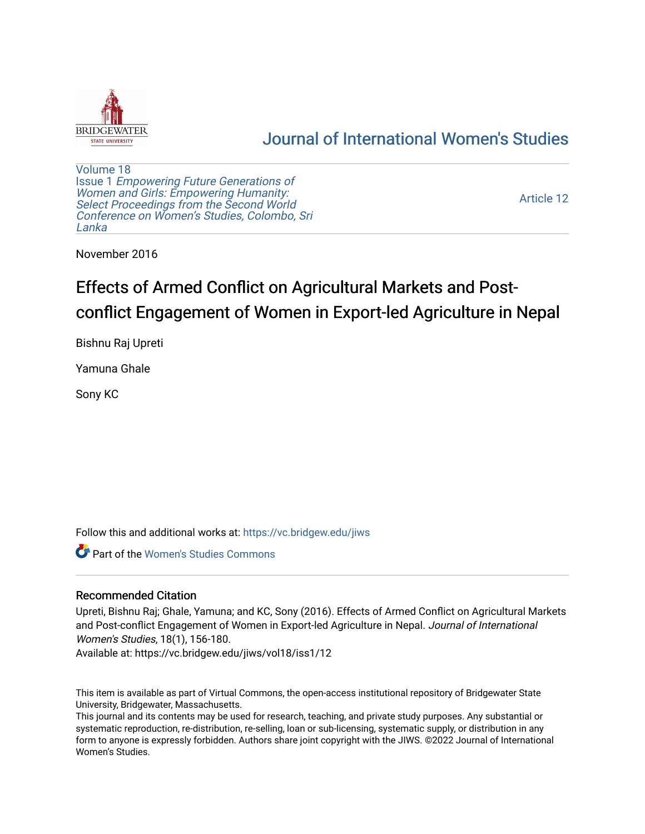

## [Journal of International Women's Studies](https://vc.bridgew.edu/jiws)

[Volume 18](https://vc.bridgew.edu/jiws/vol18) Issue 1 [Empowering Future Generations of](https://vc.bridgew.edu/jiws/vol18/iss1) [Women and Girls: Empowering Humanity:](https://vc.bridgew.edu/jiws/vol18/iss1) [Select Proceedings from the Second World](https://vc.bridgew.edu/jiws/vol18/iss1)  [Conference on Women's Studies, Colombo, Sri](https://vc.bridgew.edu/jiws/vol18/iss1)  [Lanka](https://vc.bridgew.edu/jiws/vol18/iss1) 

[Article 12](https://vc.bridgew.edu/jiws/vol18/iss1/12) 

November 2016

# Effects of Armed Conflict on Agricultural Markets and Postconflict Engagement of Women in Export-led Agriculture in Nepal

Bishnu Raj Upreti

Yamuna Ghale

Sony KC

Follow this and additional works at: [https://vc.bridgew.edu/jiws](https://vc.bridgew.edu/jiws?utm_source=vc.bridgew.edu%2Fjiws%2Fvol18%2Fiss1%2F12&utm_medium=PDF&utm_campaign=PDFCoverPages)

**C** Part of the Women's Studies Commons

#### Recommended Citation

Upreti, Bishnu Raj; Ghale, Yamuna; and KC, Sony (2016). Effects of Armed Conflict on Agricultural Markets and Post-conflict Engagement of Women in Export-led Agriculture in Nepal. Journal of International Women's Studies, 18(1), 156-180.

Available at: https://vc.bridgew.edu/jiws/vol18/iss1/12

This item is available as part of Virtual Commons, the open-access institutional repository of Bridgewater State University, Bridgewater, Massachusetts.

This journal and its contents may be used for research, teaching, and private study purposes. Any substantial or systematic reproduction, re-distribution, re-selling, loan or sub-licensing, systematic supply, or distribution in any form to anyone is expressly forbidden. Authors share joint copyright with the JIWS. ©2022 Journal of International Women's Studies.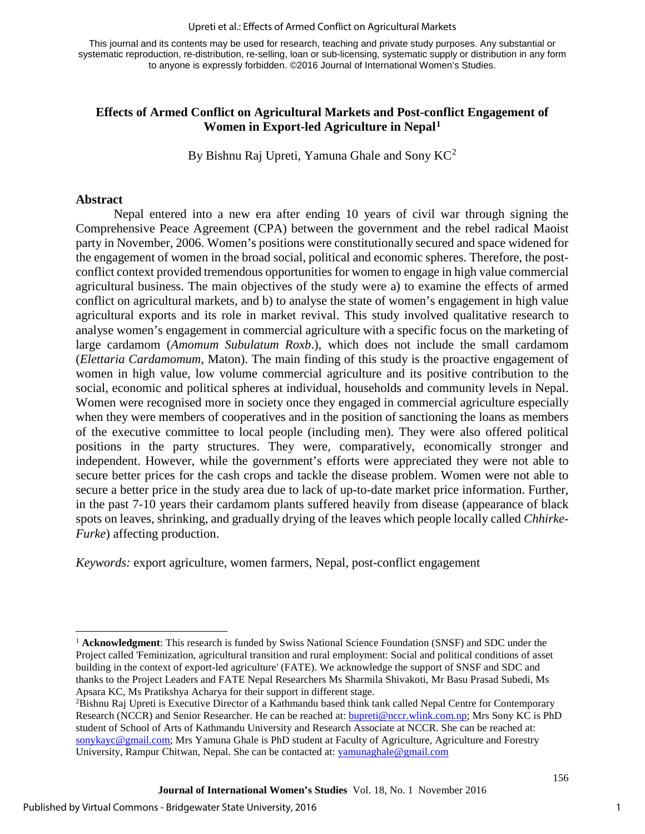#### Upreti et al.: Effects of Armed Conflict on Agricultural Markets

This journal and its contents may be used for research, teaching and private study purposes. Any substantial or systematic reproduction, re-distribution, re-selling, loan or sub-licensing, systematic supply or distribution in any form to anyone is expressly forbidden. ©2016 Journal of International Women's Studies.

#### **Effects of Armed Conflict on Agricultural Markets and Post-conflict Engagement of Women in Export-led Agriculture in Nepal[1](#page-1-0)**

By Bishnu Raj Upreti, Yamuna Ghale and Sony  $KC^2$  $KC^2$ 

#### **Abstract**

l

Nepal entered into a new era after ending 10 years of civil war through signing the Comprehensive Peace Agreement (CPA) between the government and the rebel radical Maoist party in November, 2006. Women's positions were constitutionally secured and space widened for the engagement of women in the broad social, political and economic spheres. Therefore, the postconflict context provided tremendous opportunities for women to engage in high value commercial agricultural business. The main objectives of the study were a) to examine the effects of armed conflict on agricultural markets, and b) to analyse the state of women's engagement in high value agricultural exports and its role in market revival. This study involved qualitative research to analyse women's engagement in commercial agriculture with a specific focus on the marketing of large cardamom (*Amomum Subulatum Roxb*.), which does not include the small cardamom (*Elettaria Cardamomum*, Maton). The main finding of this study is the proactive engagement of women in high value, low volume commercial agriculture and its positive contribution to the social, economic and political spheres at individual, households and community levels in Nepal. Women were recognised more in society once they engaged in commercial agriculture especially when they were members of cooperatives and in the position of sanctioning the loans as members of the executive committee to local people (including men). They were also offered political positions in the party structures. They were, comparatively, economically stronger and independent. However, while the government's efforts were appreciated they were not able to secure better prices for the cash crops and tackle the disease problem. Women were not able to secure a better price in the study area due to lack of up-to-date market price information. Further, in the past 7-10 years their cardamom plants suffered heavily from disease (appearance of black spots on leaves, shrinking, and gradually drying of the leaves which people locally called *Chhirke-Furke*) affecting production.

*Keywords:* export agriculture, women farmers, Nepal, post-conflict engagement

1

<span id="page-1-0"></span><sup>1</sup> **Acknowledgment**: This research is funded by Swiss National Science Foundation (SNSF) and SDC under the Project called 'Feminization, agricultural transition and rural employment: Social and political conditions of asset building in the context of export-led agriculture' (FATE). We acknowledge the support of SNSF and SDC and thanks to the Project Leaders and FATE Nepal Researchers Ms Sharmila Shivakoti, Mr Basu Prasad Subedi, Ms Apsara KC, Ms Pratikshya Acharya for their support in different stage.

<span id="page-1-1"></span><sup>2</sup> Bishnu Raj Upreti is Executive Director of a Kathmandu based think tank called Nepal Centre for Contemporary Research (NCCR) and Senior Researcher. He can be reached at: [bupreti@nccr.wlink.com.np;](mailto:bupreti@nccr.wlink.com.np) Mrs Sony KC is PhD student of School of Arts of Kathmandu University and Research Associate at NCCR. She can be reached at: [sonykayc@gmail.com;](mailto:sonykayc@gmail.com) Mrs Yamuna Ghale is PhD student at Faculty of Agriculture, Agriculture and Forestry University, Rampur Chitwan, Nepal. She can be contacted at: [yamunaghale@gmail.com](mailto:yamunaghale@gmail.com)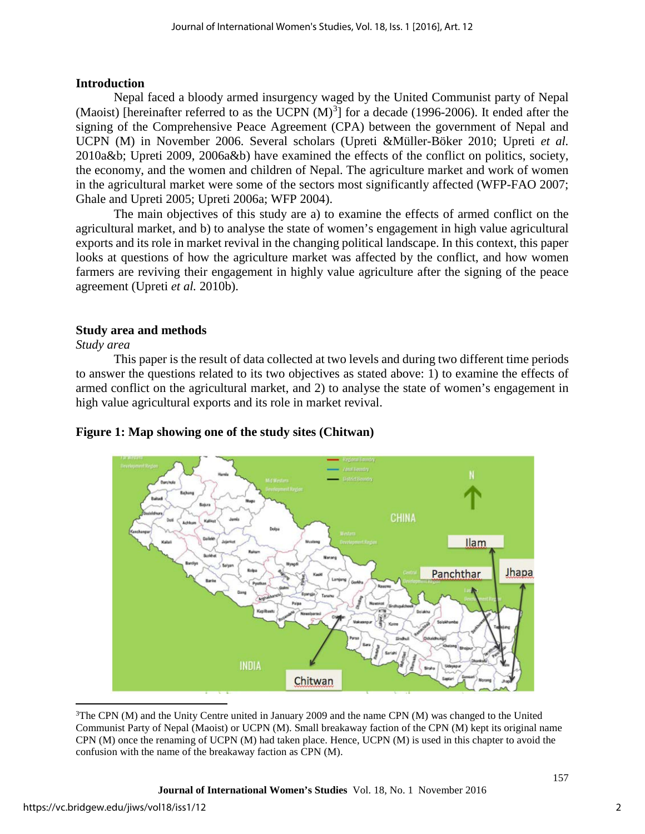#### **Introduction**

Nepal faced a bloody armed insurgency waged by the United Communist party of Nepal (Maoist) [hereinafter referred to as the UCPN  $(M)^3$  $(M)^3$ ] for a decade (1996-2006). It ended after the signing of the Comprehensive Peace Agreement (CPA) between the government of Nepal and UCPN (M) in November 2006. Several scholars (Upreti &Müller-Böker 2010; Upreti *et al.* 2010a&b; Upreti 2009, 2006a&b) have examined the effects of the conflict on politics, society, the economy, and the women and children of Nepal. The agriculture market and work of women in the agricultural market were some of the sectors most significantly affected (WFP-FAO 2007; Ghale and Upreti 2005; Upreti 2006a; WFP 2004).

The main objectives of this study are a) to examine the effects of armed conflict on the agricultural market, and b) to analyse the state of women's engagement in high value agricultural exports and its role in market revival in the changing political landscape. In this context, this paper looks at questions of how the agriculture market was affected by the conflict, and how women farmers are reviving their engagement in highly value agriculture after the signing of the peace agreement (Upreti *et al.* 2010b).

### **Study area and methods**

*Study area* 

This paper is the result of data collected at two levels and during two different time periods to answer the questions related to its two objectives as stated above: 1) to examine the effects of armed conflict on the agricultural market, and 2) to analyse the state of women's engagement in high value agricultural exports and its role in market revival.



## **Figure 1: Map showing one of the study sites (Chitwan)**

l

<span id="page-2-0"></span><sup>&</sup>lt;sup>3</sup>The CPN (M) and the Unity Centre united in January 2009 and the name CPN (M) was changed to the United Communist Party of Nepal (Maoist) or UCPN (M). Small breakaway faction of the CPN (M) kept its original name CPN (M) once the renaming of UCPN (M) had taken place. Hence, UCPN (M) is used in this chapter to avoid the confusion with the name of the breakaway faction as CPN (M).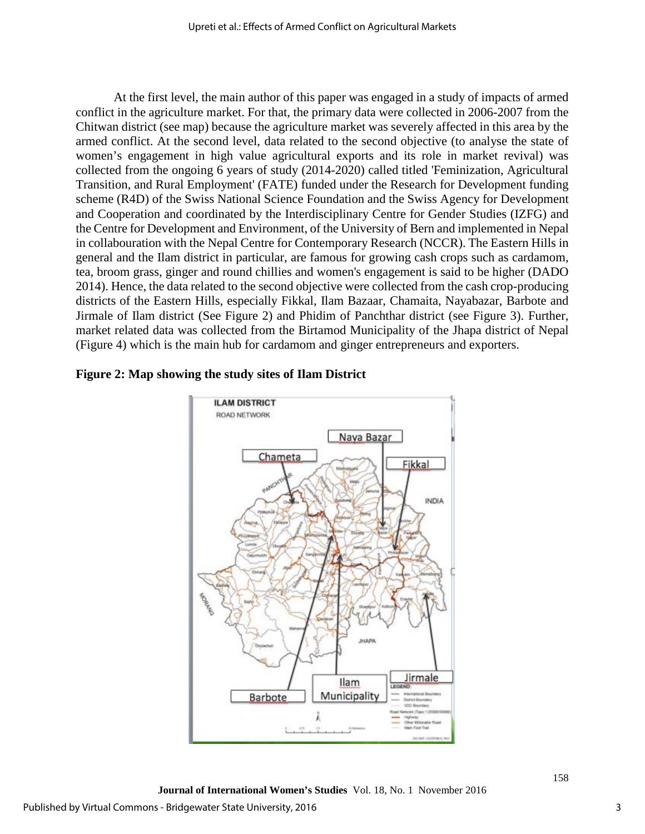At the first level, the main author of this paper was engaged in a study of impacts of armed conflict in the agriculture market. For that, the primary data were collected in 2006-2007 from the Chitwan district (see map) because the agriculture market was severely affected in this area by the armed conflict. At the second level, data related to the second objective (to analyse the state of women's engagement in high value agricultural exports and its role in market revival) was collected from the ongoing 6 years of study (2014-2020) called titled 'Feminization, Agricultural Transition, and Rural Employment' (FATE) funded under the Research for Development funding scheme (R4D) of the Swiss National Science Foundation and the Swiss Agency for Development and Cooperation and coordinated by the Interdisciplinary Centre for Gender Studies (IZFG) and the Centre for Development and Environment, of the University of Bern and implemented in Nepal in collabouration with the Nepal Centre for Contemporary Research (NCCR). The Eastern Hills in general and the Ilam district in particular, are famous for growing cash crops such as cardamom, tea, broom grass, ginger and round chillies and women's engagement is said to be higher (DADO 2014). Hence, the data related to the second objective were collected from the cash crop-producing districts of the Eastern Hills, especially Fikkal, Ilam Bazaar, Chamaita, Nayabazar, Barbote and Jirmale of Ilam district (See Figure 2) and Phidim of Panchthar district (see Figure 3). Further, market related data was collected from the Birtamod Municipality of the Jhapa district of Nepal (Figure 4) which is the main hub for cardamom and ginger entrepreneurs and exporters.





**Journal of International Women's Studies** Vol. 18, No. 1 November 2016

3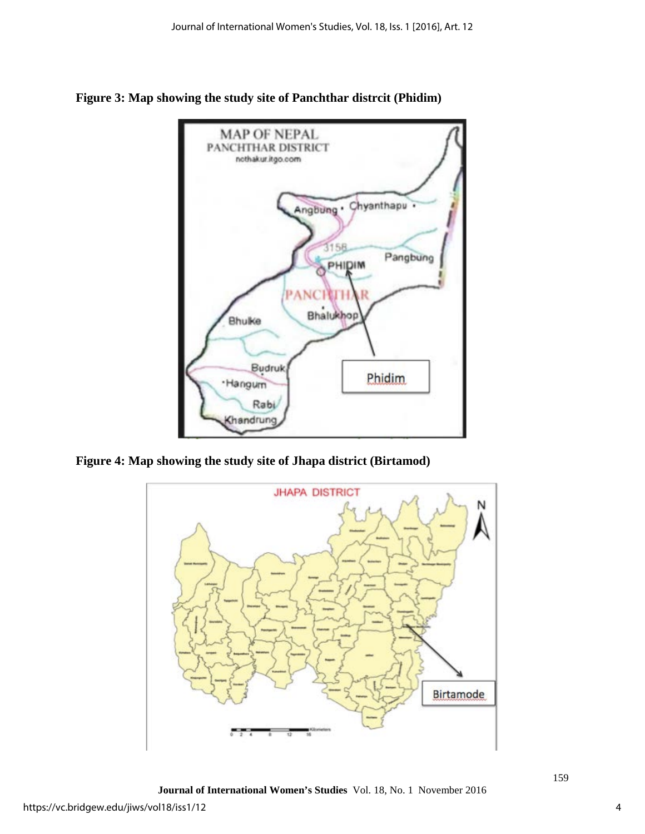

**Figure 3: Map showing the study site of Panchthar distrcit (Phidim)** 

**Figure 4: Map showing the study site of Jhapa district (Birtamod)**



**Journal of International Women's Studies** Vol. 18, No. 1 November 2016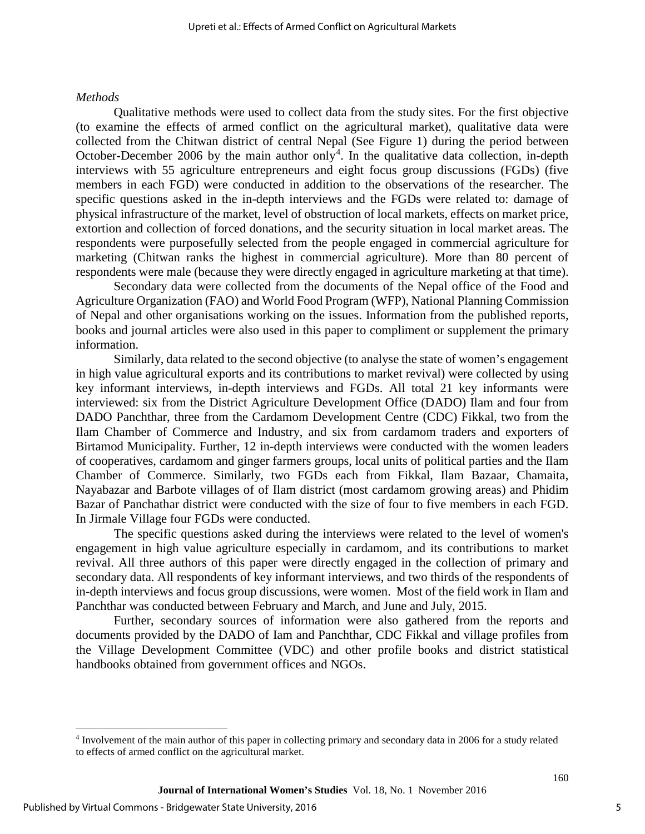#### *Methods*

Qualitative methods were used to collect data from the study sites. For the first objective (to examine the effects of armed conflict on the agricultural market), qualitative data were collected from the Chitwan district of central Nepal (See Figure 1) during the period between October-December 2006 by the main author only<sup>[4](#page-5-0)</sup>. In the qualitative data collection, in-depth interviews with 55 agriculture entrepreneurs and eight focus group discussions (FGDs) (five members in each FGD) were conducted in addition to the observations of the researcher. The specific questions asked in the in-depth interviews and the FGDs were related to: damage of physical infrastructure of the market, level of obstruction of local markets, effects on market price, extortion and collection of forced donations, and the security situation in local market areas. The respondents were purposefully selected from the people engaged in commercial agriculture for marketing (Chitwan ranks the highest in commercial agriculture). More than 80 percent of respondents were male (because they were directly engaged in agriculture marketing at that time).

Secondary data were collected from the documents of the Nepal office of the Food and Agriculture Organization (FAO) and World Food Program (WFP), National Planning Commission of Nepal and other organisations working on the issues. Information from the published reports, books and journal articles were also used in this paper to compliment or supplement the primary information.

Similarly, data related to the second objective (to analyse the state of women's engagement in high value agricultural exports and its contributions to market revival) were collected by using key informant interviews, in-depth interviews and FGDs. All total 21 key informants were interviewed: six from the District Agriculture Development Office (DADO) Ilam and four from DADO Panchthar, three from the Cardamom Development Centre (CDC) Fikkal, two from the Ilam Chamber of Commerce and Industry, and six from cardamom traders and exporters of Birtamod Municipality. Further, 12 in-depth interviews were conducted with the women leaders of cooperatives, cardamom and ginger farmers groups, local units of political parties and the Ilam Chamber of Commerce. Similarly, two FGDs each from Fikkal, Ilam Bazaar, Chamaita, Nayabazar and Barbote villages of of Ilam district (most cardamom growing areas) and Phidim Bazar of Panchathar district were conducted with the size of four to five members in each FGD. In Jirmale Village four FGDs were conducted.

The specific questions asked during the interviews were related to the level of women's engagement in high value agriculture especially in cardamom, and its contributions to market revival. All three authors of this paper were directly engaged in the collection of primary and secondary data. All respondents of key informant interviews, and two thirds of the respondents of in-depth interviews and focus group discussions, were women. Most of the field work in Ilam and Panchthar was conducted between February and March, and June and July, 2015.

Further, secondary sources of information were also gathered from the reports and documents provided by the DADO of Iam and Panchthar, CDC Fikkal and village profiles from the Village Development Committee (VDC) and other profile books and district statistical handbooks obtained from government offices and NGOs.

l

<span id="page-5-0"></span><sup>4</sup> Involvement of the main author of this paper in collecting primary and secondary data in 2006 for a study related to effects of armed conflict on the agricultural market.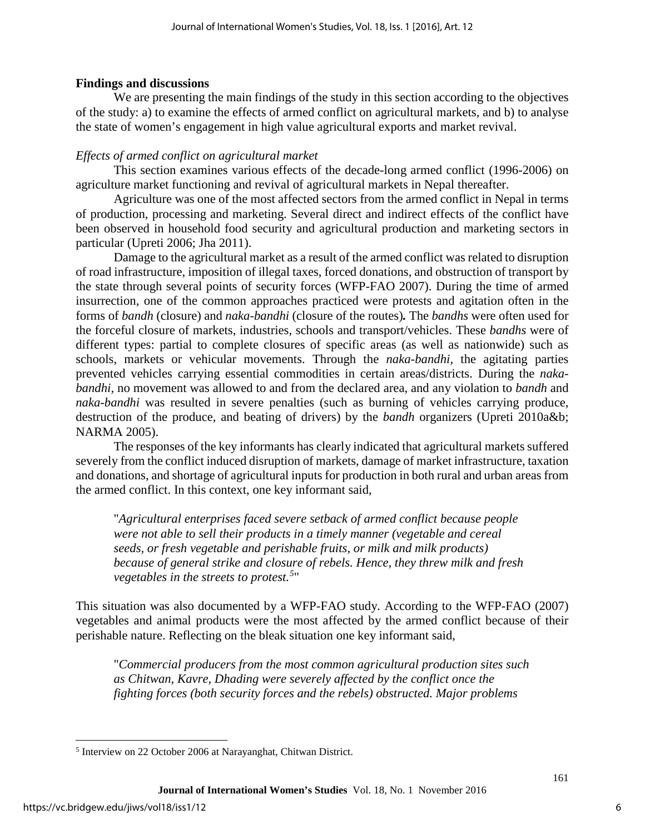#### **Findings and discussions**

We are presenting the main findings of the study in this section according to the objectives of the study: a) to examine the effects of armed conflict on agricultural markets, and b) to analyse the state of women's engagement in high value agricultural exports and market revival.

#### *Effects of armed conflict on agricultural market*

This section examines various effects of the decade-long armed conflict (1996-2006) on agriculture market functioning and revival of agricultural markets in Nepal thereafter.

Agriculture was one of the most affected sectors from the armed conflict in Nepal in terms of production, processing and marketing. Several direct and indirect effects of the conflict have been observed in household food security and agricultural production and marketing sectors in particular (Upreti 2006; Jha 2011).

Damage to the agricultural market as a result of the armed conflict was related to disruption of road infrastructure, imposition of illegal taxes, forced donations, and obstruction of transport by the state through several points of security forces (WFP-FAO 2007). During the time of armed insurrection, one of the common approaches practiced were protests and agitation often in the forms of *bandh* (closure) and *naka-bandhi* (closure of the routes)*.* The *bandhs* were often used for the forceful closure of markets, industries, schools and transport/vehicles. These *bandhs* were of different types: partial to complete closures of specific areas (as well as nationwide) such as schools, markets or vehicular movements. Through the *naka-bandhi,* the agitating parties prevented vehicles carrying essential commodities in certain areas/districts. During the *nakabandhi,* no movement was allowed to and from the declared area, and any violation to *bandh* and *naka-bandhi* was resulted in severe penalties (such as burning of vehicles carrying produce, destruction of the produce, and beating of drivers) by the *bandh* organizers (Upreti 2010a&b; NARMA 2005).

The responses of the key informants has clearly indicated that agricultural markets suffered severely from the conflict induced disruption of markets, damage of market infrastructure, taxation and donations, and shortage of agricultural inputs for production in both rural and urban areas from the armed conflict. In this context, one key informant said,

"*Agricultural enterprises faced severe setback of armed conflict because people were not able to sell their products in a timely manner (vegetable and cereal seeds, or fresh vegetable and perishable fruits, or milk and milk products) because of general strike and closure of rebels. Hence, they threw milk and fresh vegetables in the streets to protest.[5](#page-6-0)* "

This situation was also documented by a WFP-FAO study. According to the WFP-FAO (2007) vegetables and animal products were the most affected by the armed conflict because of their perishable nature. Reflecting on the bleak situation one key informant said,

"*Commercial producers from the most common agricultural production sites such as Chitwan, Kavre, Dhading were severely affected by the conflict once the fighting forces (both security forces and the rebels) obstructed. Major problems* 

l

<span id="page-6-0"></span><sup>5</sup> Interview on 22 October 2006 at Narayanghat, Chitwan District.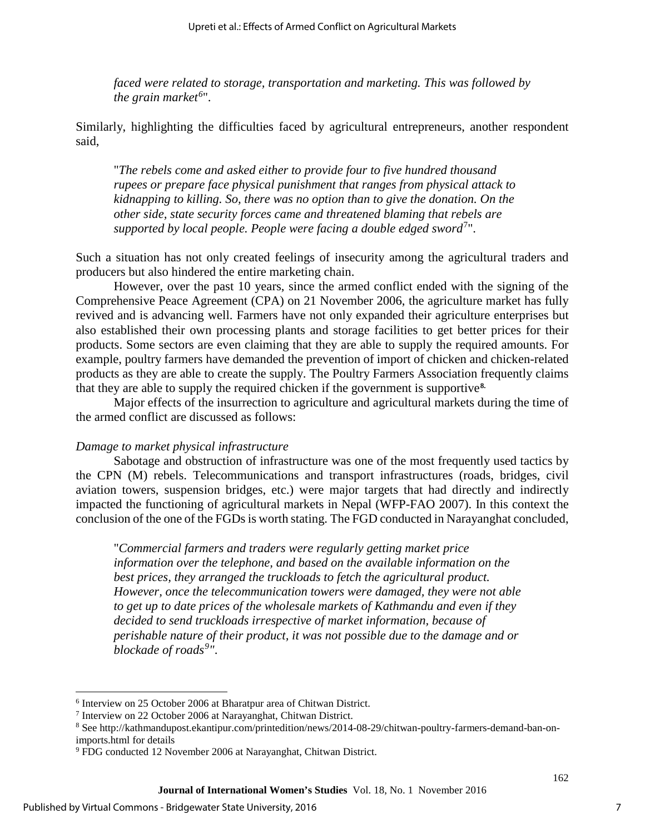*faced were related to storage, transportation and marketing. This was followed by the grain market[6](#page-7-0)* ".

Similarly, highlighting the difficulties faced by agricultural entrepreneurs, another respondent said,

"*The rebels come and asked either to provide four to five hundred thousand rupees or prepare face physical punishment that ranges from physical attack to kidnapping to killing. So, there was no option than to give the donation. On the other side, state security forces came and threatened blaming that rebels are*  supported by local people. People were facing a double edged sword<sup>[7](#page-7-1)</sup>".

Such a situation has not only created feelings of insecurity among the agricultural traders and producers but also hindered the entire marketing chain.

However, over the past 10 years, since the armed conflict ended with the signing of the Comprehensive Peace Agreement (CPA) on 21 November 2006, the agriculture market has fully revived and is advancing well. Farmers have not only expanded their agriculture enterprises but also established their own processing plants and storage facilities to get better prices for their products. Some sectors are even claiming that they are able to supply the required amounts. For example, poultry farmers have demanded the prevention of import of chicken and chicken-related products as they are able to create the supply. The Poultry Farmers Association frequently claims that they are able to supply the required chicken if the government is supportive**[8.](#page-7-2)** 

Major effects of the insurrection to agriculture and agricultural markets during the time of the armed conflict are discussed as follows:

#### *Damage to market physical infrastructure*

Sabotage and obstruction of infrastructure was one of the most frequently used tactics by the CPN (M) rebels. Telecommunications and transport infrastructures (roads, bridges, civil aviation towers, suspension bridges, etc.) were major targets that had directly and indirectly impacted the functioning of agricultural markets in Nepal (WFP-FAO 2007). In this context the conclusion of the one of the FGDs is worth stating. The FGD conducted in Narayanghat concluded,

"*Commercial farmers and traders were regularly getting market price information over the telephone, and based on the available information on the best prices, they arranged the truckloads to fetch the agricultural product. However, once the telecommunication towers were damaged, they were not able to get up to date prices of the wholesale markets of Kathmandu and even if they decided to send truckloads irrespective of market information, because of perishable nature of their product, it was not possible due to the damage and or blockade of roads[9](#page-7-3) "*.

 $\overline{\phantom{a}}$ 

<span id="page-7-0"></span><sup>6</sup> Interview on 25 October 2006 at Bharatpur area of Chitwan District.

<span id="page-7-1"></span><sup>7</sup> Interview on 22 October 2006 at Narayanghat, Chitwan District.

<span id="page-7-2"></span><sup>8</sup> See http://kathmandupost.ekantipur.com/printedition/news/2014-08-29/chitwan-poultry-farmers-demand-ban-onimports.html for details

<span id="page-7-3"></span><sup>9</sup> FDG conducted 12 November 2006 at Narayanghat, Chitwan District.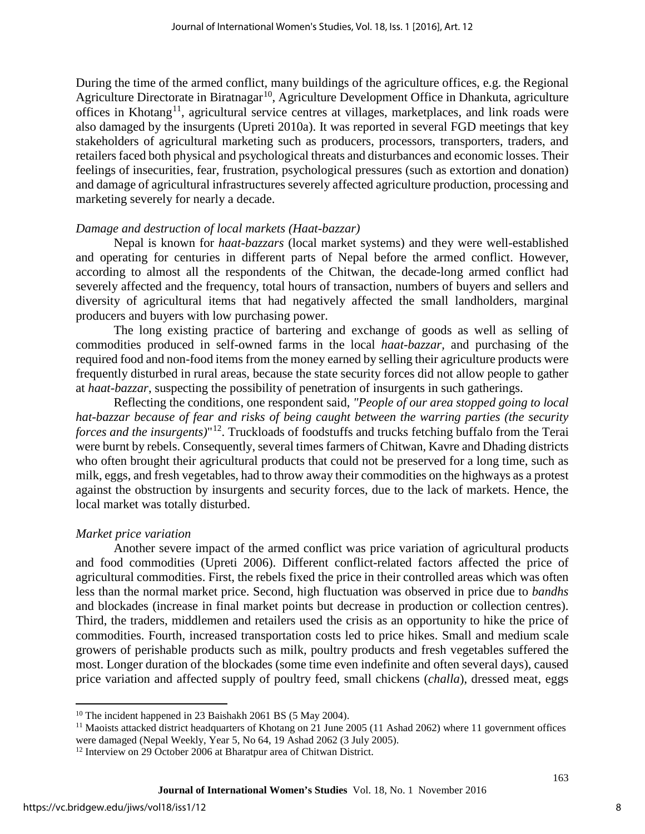During the time of the armed conflict, many buildings of the agriculture offices, e.g. the Regional Agriculture Directorate in Biratnagar<sup>[10](#page-8-0)</sup>, Agriculture Development Office in Dhankuta, agriculture offices in Khotang<sup>[11](#page-8-1)</sup>, agricultural service centres at villages, marketplaces, and link roads were also damaged by the insurgents (Upreti 2010a). It was reported in several FGD meetings that key stakeholders of agricultural marketing such as producers, processors, transporters, traders, and retailers faced both physical and psychological threats and disturbances and economic losses. Their feelings of insecurities, fear, frustration, psychological pressures (such as extortion and donation) and damage of agricultural infrastructures severely affected agriculture production, processing and marketing severely for nearly a decade.

#### *Damage and destruction of local markets (Haat-bazzar)*

Nepal is known for *haat-bazzars* (local market systems) and they were well-established and operating for centuries in different parts of Nepal before the armed conflict. However, according to almost all the respondents of the Chitwan, the decade-long armed conflict had severely affected and the frequency, total hours of transaction, numbers of buyers and sellers and diversity of agricultural items that had negatively affected the small landholders, marginal producers and buyers with low purchasing power.

The long existing practice of bartering and exchange of goods as well as selling of commodities produced in self-owned farms in the local *haat-bazzar,* and purchasing of the required food and non-food items from the money earned by selling their agriculture products were frequently disturbed in rural areas, because the state security forces did not allow people to gather at *haat-bazzar*, suspecting the possibility of penetration of insurgents in such gatherings.

Reflecting the conditions, one respondent said, *"People of our area stopped going to local hat-bazzar because of fear and risks of being caught between the warring parties (the security forces and the insurgents)*"[12](#page-8-2). Truckloads of foodstuffs and trucks fetching buffalo from the Terai were burnt by rebels. Consequently, several times farmers of Chitwan, Kavre and Dhading districts who often brought their agricultural products that could not be preserved for a long time, such as milk, eggs, and fresh vegetables, had to throw away their commodities on the highways as a protest against the obstruction by insurgents and security forces, due to the lack of markets. Hence, the local market was totally disturbed.

#### *Market price variation*

Another severe impact of the armed conflict was price variation of agricultural products and food commodities (Upreti 2006). Different conflict-related factors affected the price of agricultural commodities. First, the rebels fixed the price in their controlled areas which was often less than the normal market price. Second, high fluctuation was observed in price due to *bandhs* and blockades (increase in final market points but decrease in production or collection centres). Third, the traders, middlemen and retailers used the crisis as an opportunity to hike the price of commodities. Fourth, increased transportation costs led to price hikes. Small and medium scale growers of perishable products such as milk, poultry products and fresh vegetables suffered the most. Longer duration of the blockades (some time even indefinite and often several days), caused price variation and affected supply of poultry feed, small chickens (*challa*), dressed meat, eggs

l

8

<sup>&</sup>lt;sup>10</sup> The incident happened in 23 Baishakh 2061 BS (5 May 2004).

<span id="page-8-1"></span><span id="page-8-0"></span><sup>&</sup>lt;sup>11</sup> Maoists attacked district headquarters of Khotang on 21 June 2005 (11 Ashad 2062) where 11 government offices were damaged (Nepal Weekly, Year 5, No 64, 19 Ashad 2062 (3 July 2005).

<span id="page-8-2"></span><sup>&</sup>lt;sup>12</sup> Interview on 29 October 2006 at Bharatpur area of Chitwan District.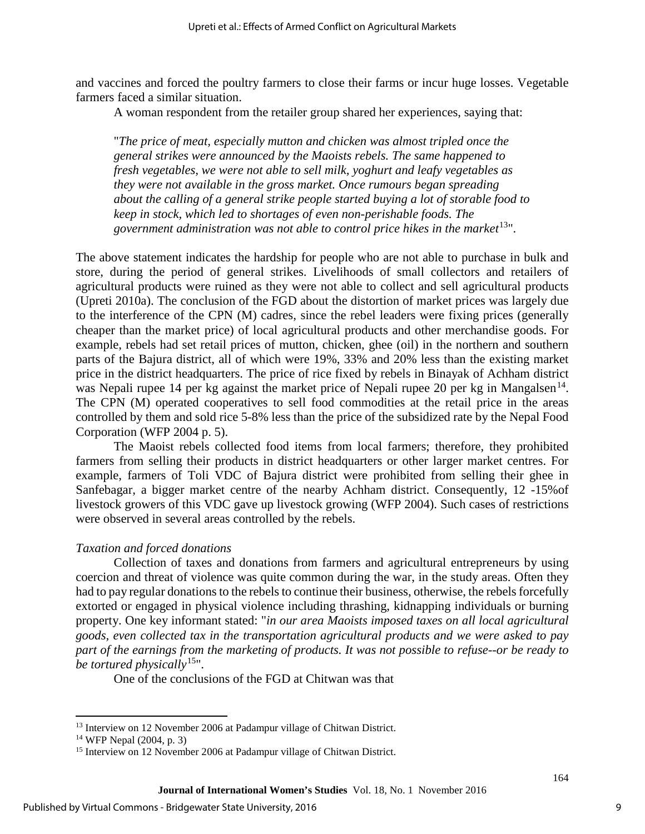and vaccines and forced the poultry farmers to close their farms or incur huge losses. Vegetable farmers faced a similar situation.

A woman respondent from the retailer group shared her experiences, saying that:

"*The price of meat, especially mutton and chicken was almost tripled once the general strikes were announced by the Maoists rebels. The same happened to fresh vegetables, we were not able to sell milk, yoghurt and leafy vegetables as they were not available in the gross market. Once rumours began spreading about the calling of a general strike people started buying a lot of storable food to keep in stock, which led to shortages of even non-perishable foods. The government administration was not able to control price hikes in the market*[13](#page-9-0)".

The above statement indicates the hardship for people who are not able to purchase in bulk and store, during the period of general strikes. Livelihoods of small collectors and retailers of agricultural products were ruined as they were not able to collect and sell agricultural products (Upreti 2010a). The conclusion of the FGD about the distortion of market prices was largely due to the interference of the CPN (M) cadres, since the rebel leaders were fixing prices (generally cheaper than the market price) of local agricultural products and other merchandise goods. For example, rebels had set retail prices of mutton, chicken, ghee (oil) in the northern and southern parts of the Bajura district, all of which were 19%, 33% and 20% less than the existing market price in the district headquarters. The price of rice fixed by rebels in Binayak of Achham district was Nepali rupee [14](#page-9-1) per kg against the market price of Nepali rupee 20 per kg in Mangalsen<sup>14</sup>. The CPN (M) operated cooperatives to sell food commodities at the retail price in the areas controlled by them and sold rice 5-8% less than the price of the subsidized rate by the Nepal Food Corporation (WFP 2004 p. 5).

The Maoist rebels collected food items from local farmers; therefore, they prohibited farmers from selling their products in district headquarters or other larger market centres. For example, farmers of Toli VDC of Bajura district were prohibited from selling their ghee in Sanfebagar, a bigger market centre of the nearby Achham district. Consequently, 12 -15%of livestock growers of this VDC gave up livestock growing (WFP 2004). Such cases of restrictions were observed in several areas controlled by the rebels.

#### *Taxation and forced donations*

Collection of taxes and donations from farmers and agricultural entrepreneurs by using coercion and threat of violence was quite common during the war, in the study areas. Often they had to pay regular donations to the rebels to continue their business, otherwise, the rebels forcefully extorted or engaged in physical violence including thrashing, kidnapping individuals or burning property. One key informant stated: "*in our area Maoists imposed taxes on all local agricultural goods, even collected tax in the transportation agricultural products and we were asked to pay part of the earnings from the marketing of products. It was not possible to refuse--or be ready to be tortured physically*[15](#page-9-2)".

One of the conclusions of the FGD at Chitwan was that

 $\overline{\phantom{a}}$ 

<span id="page-9-0"></span><sup>&</sup>lt;sup>13</sup> Interview on 12 November 2006 at Padampur village of Chitwan District.

<span id="page-9-1"></span><sup>14</sup> WFP Nepal (2004, p. 3)

<span id="page-9-2"></span><sup>&</sup>lt;sup>15</sup> Interview on 12 November 2006 at Padampur village of Chitwan District.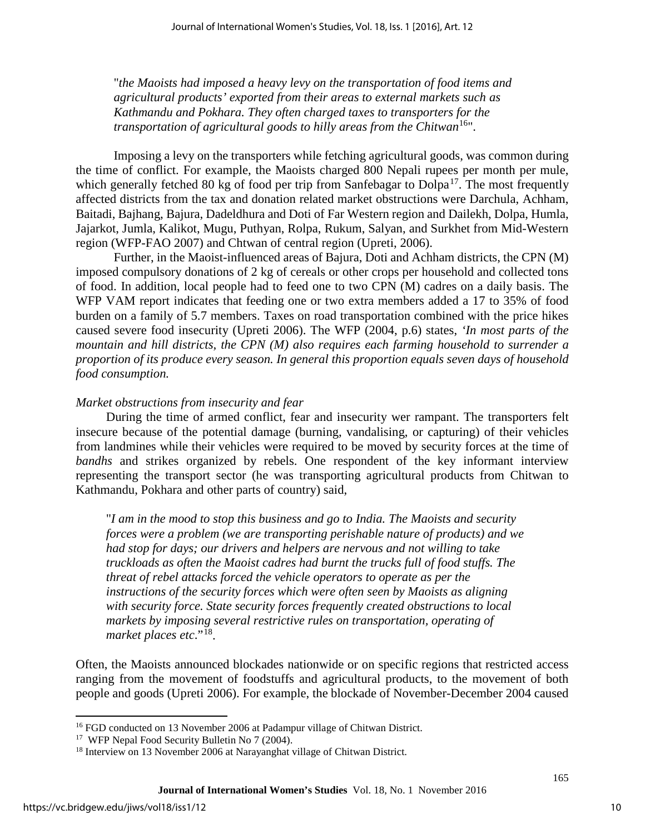"*the Maoists had imposed a heavy levy on the transportation of food items and agricultural products' exported from their areas to external markets such as Kathmandu and Pokhara. They often charged taxes to transporters for the transportation of agricultural goods to hilly areas from the Chitwan*<sup>[16](#page-10-0)"</sup>.

Imposing a levy on the transporters while fetching agricultural goods, was common during the time of conflict. For example, the Maoists charged 800 Nepali rupees per month per mule, which generally fetched 80 kg of food per trip from Sanfebagar to  $D$ olpa<sup>[17](#page-10-1)</sup>. The most frequently affected districts from the tax and donation related market obstructions were Darchula, Achham, Baitadi, Bajhang, Bajura, Dadeldhura and Doti of Far Western region and Dailekh, Dolpa, Humla, Jajarkot, Jumla, Kalikot, Mugu, Puthyan, Rolpa, Rukum, Salyan, and Surkhet from Mid-Western region (WFP-FAO 2007) and Chtwan of central region (Upreti, 2006).

Further, in the Maoist-influenced areas of Bajura, Doti and Achham districts, the CPN (M) imposed compulsory donations of 2 kg of cereals or other crops per household and collected tons of food. In addition, local people had to feed one to two CPN (M) cadres on a daily basis. The WFP VAM report indicates that feeding one or two extra members added a 17 to 35% of food burden on a family of 5.7 members. Taxes on road transportation combined with the price hikes caused severe food insecurity (Upreti 2006). The WFP (2004, p.6) states, *'In most parts of the mountain and hill districts, the CPN (M) also requires each farming household to surrender a proportion of its produce every season. In general this proportion equals seven days of household food consumption.*

#### *Market obstructions from insecurity and fear*

During the time of armed conflict, fear and insecurity wer rampant. The transporters felt insecure because of the potential damage (burning, vandalising, or capturing) of their vehicles from landmines while their vehicles were required to be moved by security forces at the time of *bandhs* and strikes organized by rebels. One respondent of the key informant interview representing the transport sector (he was transporting agricultural products from Chitwan to Kathmandu, Pokhara and other parts of country) said,

"*I am in the mood to stop this business and go to India. The Maoists and security forces were a problem (we are transporting perishable nature of products) and we had stop for days; our drivers and helpers are nervous and not willing to take truckloads as often the Maoist cadres had burnt the trucks full of food stuffs. The threat of rebel attacks forced the vehicle operators to operate as per the instructions of the security forces which were often seen by Maoists as aligning with security force. State security forces frequently created obstructions to local markets by imposing several restrictive rules on transportation, operating of market places etc*."[18.](#page-10-2)

Often, the Maoists announced blockades nationwide or on specific regions that restricted access ranging from the movement of foodstuffs and agricultural products, to the movement of both people and goods (Upreti 2006). For example, the blockade of November-December 2004 caused

 $\overline{\phantom{a}}$ 

<span id="page-10-1"></span><span id="page-10-0"></span><sup>&</sup>lt;sup>16</sup> FGD conducted on 13 November 2006 at Padampur village of Chitwan District.<br><sup>17</sup> WFP Nepal Food Security Bulletin No 7 (2004).<br><sup>18</sup> Interview on 13 November 2006 at Narayanghat village of Chitwan District.

<span id="page-10-2"></span>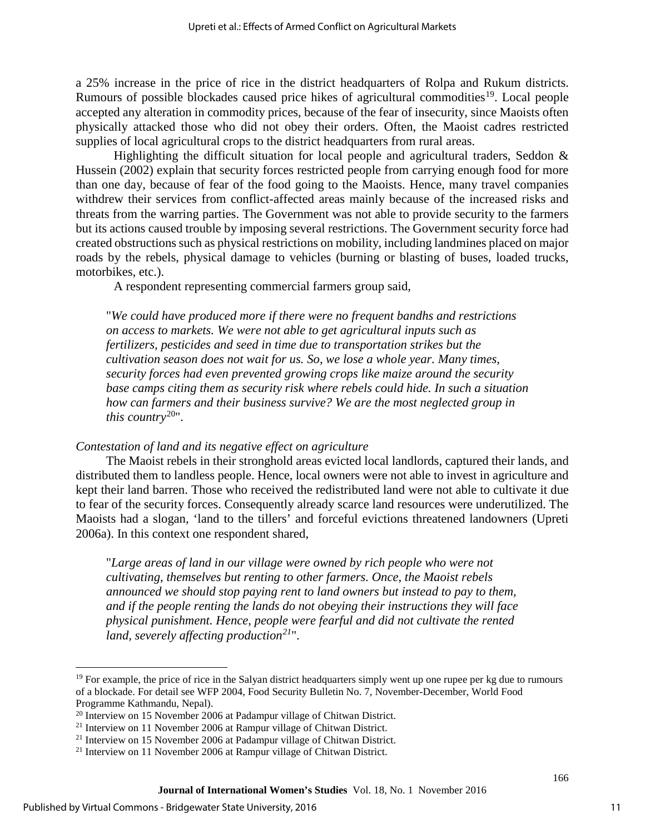a 25% increase in the price of rice in the district headquarters of Rolpa and Rukum districts. Rumours of possible blockades caused price hikes of agricultural commodities<sup>[19](#page-11-0)</sup>. Local people accepted any alteration in commodity prices, because of the fear of insecurity, since Maoists often physically attacked those who did not obey their orders. Often, the Maoist cadres restricted supplies of local agricultural crops to the district headquarters from rural areas.

Highlighting the difficult situation for local people and agricultural traders, Seddon  $\&$ Hussein (2002) explain that security forces restricted people from carrying enough food for more than one day, because of fear of the food going to the Maoists. Hence, many travel companies withdrew their services from conflict-affected areas mainly because of the increased risks and threats from the warring parties. The Government was not able to provide security to the farmers but its actions caused trouble by imposing several restrictions. The Government security force had created obstructions such as physical restrictions on mobility, including landmines placed on major roads by the rebels, physical damage to vehicles (burning or blasting of buses, loaded trucks, motorbikes, etc.).

A respondent representing commercial farmers group said,

"*We could have produced more if there were no frequent bandhs and restrictions on access to markets. We were not able to get agricultural inputs such as fertilizers, pesticides and seed in time due to transportation strikes but the cultivation season does not wait for us. So, we lose a whole year. Many times, security forces had even prevented growing crops like maize around the security base camps citing them as security risk where rebels could hide. In such a situation how can farmers and their business survive? We are the most neglected group in this country*[20](#page-11-1)".

#### *Contestation of land and its negative effect on agriculture*

The Maoist rebels in their stronghold areas evicted local landlords, captured their lands, and distributed them to landless people. Hence, local owners were not able to invest in agriculture and kept their land barren. Those who received the redistributed land were not able to cultivate it due to fear of the security forces. Consequently already scarce land resources were underutilized. The Maoists had a slogan, 'land to the tillers' and forceful evictions threatened landowners (Upreti 2006a). In this context one respondent shared,

"*Large areas of land in our village were owned by rich people who were not cultivating, themselves but renting to other farmers. Once, the Maoist rebels announced we should stop paying rent to land owners but instead to pay to them, and if the people renting the lands do not obeying their instructions they will face physical punishment. Hence, people were fearful and did not cultivate the rented land, severely affecting production[21](#page-11-2)*".

l

<span id="page-11-0"></span> $19$  For example, the price of rice in the Salyan district headquarters simply went up one rupee per kg due to rumours of a blockade. For detail see WFP 2004, Food Security Bulletin No. 7, November-December, World Food Programme Kathmandu, Nepal).<br><sup>20</sup> Interview on 15 November 2006 at Padampur village of Chitwan District.

<span id="page-11-2"></span><span id="page-11-1"></span><sup>&</sup>lt;sup>21</sup> Interview on 11 November 2006 at Rampur village of Chitwan District.<br><sup>21</sup> Interview on 15 November 2006 at Padampur village of Chitwan District.<br><sup>21</sup> Interview on 11 November 2006 at Rampur village of Chitwan Distric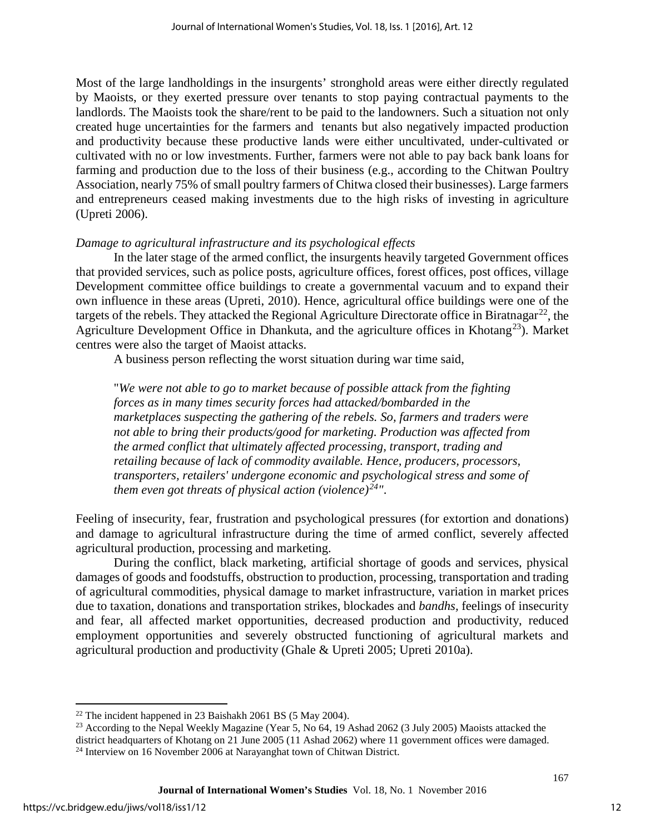Most of the large landholdings in the insurgents' stronghold areas were either directly regulated by Maoists, or they exerted pressure over tenants to stop paying contractual payments to the landlords. The Maoists took the share/rent to be paid to the landowners. Such a situation not only created huge uncertainties for the farmers and tenants but also negatively impacted production and productivity because these productive lands were either uncultivated, under-cultivated or cultivated with no or low investments. Further, farmers were not able to pay back bank loans for farming and production due to the loss of their business (e.g., according to the Chitwan Poultry Association, nearly 75% of small poultry farmers of Chitwa closed their businesses). Large farmers and entrepreneurs ceased making investments due to the high risks of investing in agriculture (Upreti 2006).

#### *Damage to agricultural infrastructure and its psychological effects*

In the later stage of the armed conflict, the insurgents heavily targeted Government offices that provided services, such as police posts, agriculture offices, forest offices, post offices, village Development committee office buildings to create a governmental vacuum and to expand their own influence in these areas (Upreti, 2010). Hence, agricultural office buildings were one of the targets of the rebels. They attacked the Regional Agriculture Directorate office in Biratnagar<sup>22</sup>, the Agriculture Development Office in Dhankuta, and the agriculture offices in Khotang<sup>23</sup>). Market centres were also the target of Maoist attacks.

A business person reflecting the worst situation during war time said,

"*We were not able to go to market because of possible attack from the fighting forces as in many times security forces had attacked/bombarded in the marketplaces suspecting the gathering of the rebels. So, farmers and traders were not able to bring their products/good for marketing. Production was affected from the armed conflict that ultimately affected processing, transport, trading and retailing because of lack of commodity available. Hence, producers, processors, transporters, retailers' undergone economic and psychological stress and some of them even got threats of physical action (violence)[24](#page-12-2)"*.

Feeling of insecurity, fear, frustration and psychological pressures (for extortion and donations) and damage to agricultural infrastructure during the time of armed conflict, severely affected agricultural production, processing and marketing.

During the conflict, black marketing, artificial shortage of goods and services, physical damages of goods and foodstuffs, obstruction to production, processing, transportation and trading of agricultural commodities, physical damage to market infrastructure, variation in market prices due to taxation, donations and transportation strikes, blockades and *bandhs,* feelings of insecurity and fear, all affected market opportunities, decreased production and productivity, reduced employment opportunities and severely obstructed functioning of agricultural markets and agricultural production and productivity (Ghale & Upreti 2005; Upreti 2010a).

l

<span id="page-12-0"></span> $22$  The incident happened in 23 Baishakh 2061 BS (5 May 2004).

<span id="page-12-1"></span><sup>&</sup>lt;sup>23</sup> According to the Nepal Weekly Magazine (Year 5, No 64, 19 Ashad 2062 (3 July 2005) Maoists attacked the

<span id="page-12-2"></span>district headquarters of Khotang on 21 June 2005 (11 Ashad 2062) where 11 government offices were damaged. 24 Interview on 16 November 2006 at Narayanghat town of Chitwan District.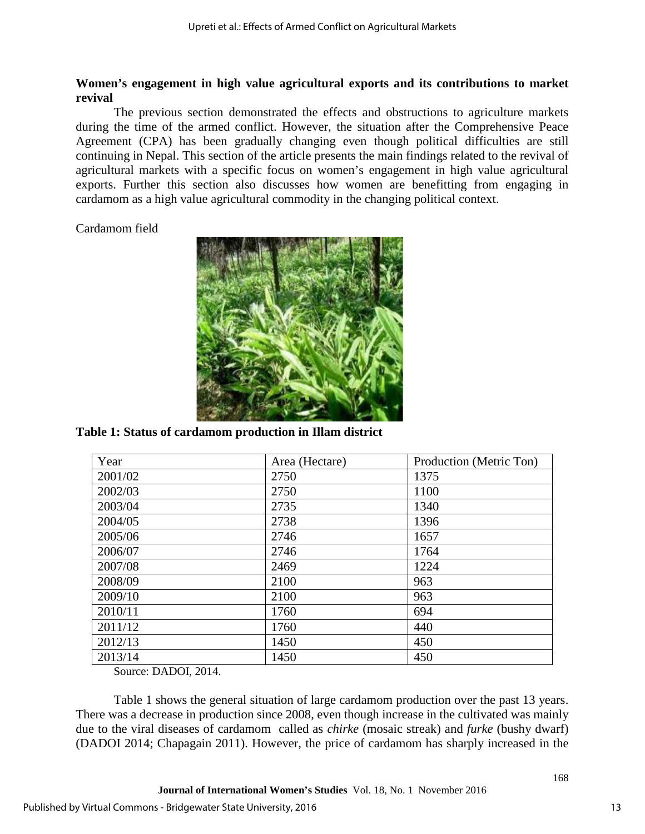#### **Women's engagement in high value agricultural exports and its contributions to market revival**

The previous section demonstrated the effects and obstructions to agriculture markets during the time of the armed conflict. However, the situation after the Comprehensive Peace Agreement (CPA) has been gradually changing even though political difficulties are still continuing in Nepal. This section of the article presents the main findings related to the revival of agricultural markets with a specific focus on women's engagement in high value agricultural exports. Further this section also discusses how women are benefitting from engaging in cardamom as a high value agricultural commodity in the changing political context.

#### Cardamom field



**Table 1: Status of cardamom production in Illam district** 

| Year    | Area (Hectare) | Production (Metric Ton) |
|---------|----------------|-------------------------|
| 2001/02 | 2750           | 1375                    |
| 2002/03 | 2750           | 1100                    |
| 2003/04 | 2735           | 1340                    |
| 2004/05 | 2738           | 1396                    |
| 2005/06 | 2746           | 1657                    |
| 2006/07 | 2746           | 1764                    |
| 2007/08 | 2469           | 1224                    |
| 2008/09 | 2100           | 963                     |
| 2009/10 | 2100           | 963                     |
| 2010/11 | 1760           | 694                     |
| 2011/12 | 1760           | 440                     |
| 2012/13 | 1450           | 450                     |
| 2013/14 | 1450           | 450                     |

Source: DADOI, 2014.

Table 1 shows the general situation of large cardamom production over the past 13 years. There was a decrease in production since 2008, even though increase in the cultivated was mainly due to the viral diseases of cardamom called as *chirke* (mosaic streak) and *furke* (bushy dwarf) (DADOI 2014; Chapagain 2011). However, the price of cardamom has sharply increased in the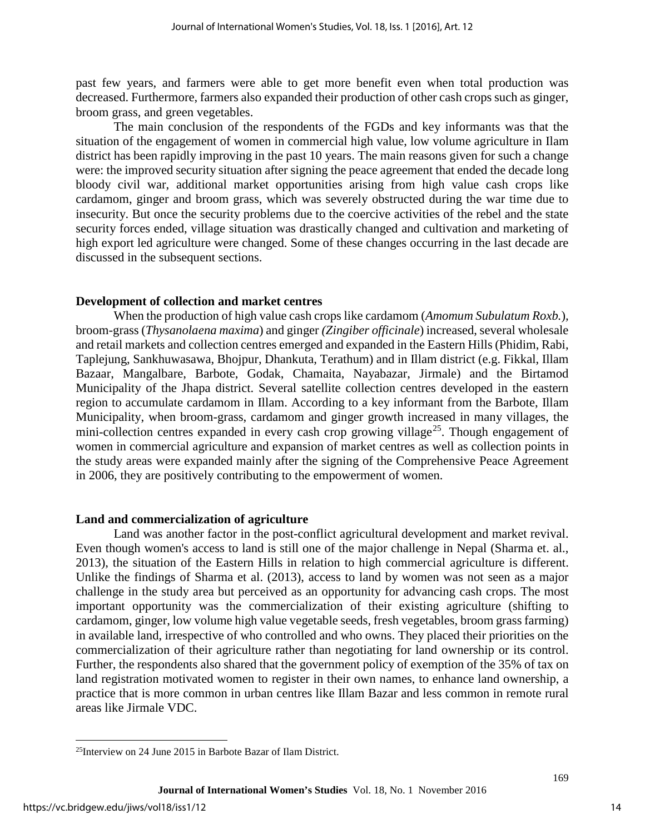past few years, and farmers were able to get more benefit even when total production was decreased. Furthermore, farmers also expanded their production of other cash crops such as ginger, broom grass, and green vegetables.

The main conclusion of the respondents of the FGDs and key informants was that the situation of the engagement of women in commercial high value, low volume agriculture in Ilam district has been rapidly improving in the past 10 years. The main reasons given for such a change were: the improved security situation after signing the peace agreement that ended the decade long bloody civil war, additional market opportunities arising from high value cash crops like cardamom, ginger and broom grass, which was severely obstructed during the war time due to insecurity. But once the security problems due to the coercive activities of the rebel and the state security forces ended, village situation was drastically changed and cultivation and marketing of high export led agriculture were changed. Some of these changes occurring in the last decade are discussed in the subsequent sections.

#### **Development of collection and market centres**

When the production of high value cash crops like cardamom (*Amomum Subulatum Roxb.*)*,* broom-grass (*Thysanolaena maxima*) and ginger *(Zingiber officinale*) increased, several wholesale and retail markets and collection centres emerged and expanded in the Eastern Hills (Phidim, Rabi, Taplejung, Sankhuwasawa, Bhojpur, Dhankuta, Terathum) and in Illam district (e.g. Fikkal, Illam Bazaar, Mangalbare, Barbote, Godak, Chamaita, Nayabazar, Jirmale) and the Birtamod Municipality of the Jhapa district. Several satellite collection centres developed in the eastern region to accumulate cardamom in Illam. According to a key informant from the Barbote, Illam Municipality, when broom-grass, cardamom and ginger growth increased in many villages, the mini-collection centres expanded in every cash crop growing village<sup>[25](#page-14-0)</sup>. Though engagement of women in commercial agriculture and expansion of market centres as well as collection points in the study areas were expanded mainly after the signing of the Comprehensive Peace Agreement in 2006, they are positively contributing to the empowerment of women.

#### **Land and commercialization of agriculture**

Land was another factor in the post-conflict agricultural development and market revival. Even though women's access to land is still one of the major challenge in Nepal (Sharma et. al., 2013), the situation of the Eastern Hills in relation to high commercial agriculture is different. Unlike the findings of Sharma et al. (2013), access to land by women was not seen as a major challenge in the study area but perceived as an opportunity for advancing cash crops. The most important opportunity was the commercialization of their existing agriculture (shifting to cardamom, ginger, low volume high value vegetable seeds, fresh vegetables, broom grass farming) in available land, irrespective of who controlled and who owns. They placed their priorities on the commercialization of their agriculture rather than negotiating for land ownership or its control. Further, the respondents also shared that the government policy of exemption of the 35% of tax on land registration motivated women to register in their own names, to enhance land ownership, a practice that is more common in urban centres like Illam Bazar and less common in remote rural areas like Jirmale VDC.

l

<span id="page-14-0"></span><sup>25</sup>Interview on 24 June 2015 in Barbote Bazar of Ilam District.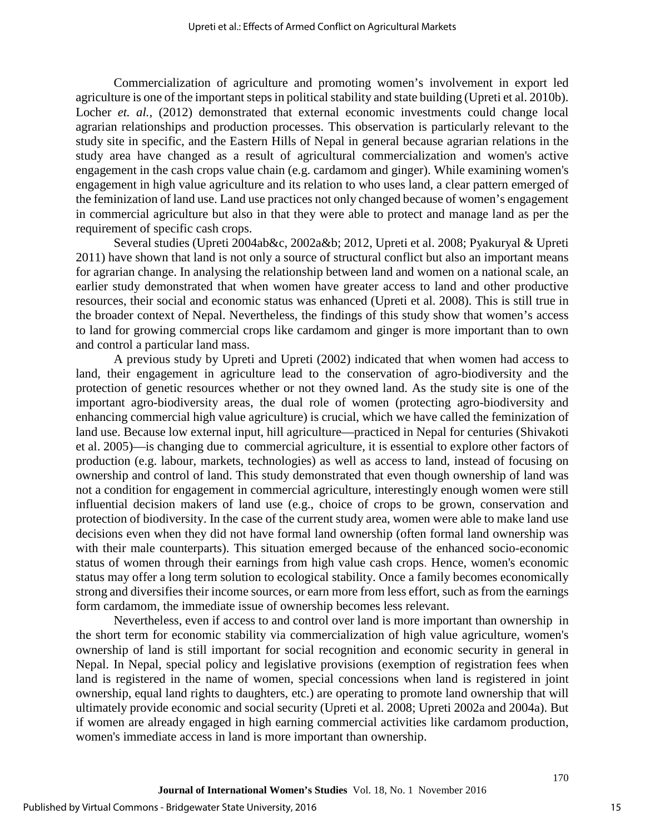Commercialization of agriculture and promoting women's involvement in export led agriculture is one of the important steps in political stability and state building (Upreti et al. 2010b). Locher *et. al.*, (2012) demonstrated that external economic investments could change local agrarian relationships and production processes. This observation is particularly relevant to the study site in specific, and the Eastern Hills of Nepal in general because agrarian relations in the study area have changed as a result of agricultural commercialization and women's active engagement in the cash crops value chain (e.g. cardamom and ginger). While examining women's engagement in high value agriculture and its relation to who uses land, a clear pattern emerged of the feminization of land use. Land use practices not only changed because of women's engagement in commercial agriculture but also in that they were able to protect and manage land as per the requirement of specific cash crops.

Several studies (Upreti 2004ab&c, 2002a&b; 2012, Upreti et al. 2008; Pyakuryal & Upreti 2011) have shown that land is not only a source of structural conflict but also an important means for agrarian change. In analysing the relationship between land and women on a national scale, an earlier study demonstrated that when women have greater access to land and other productive resources, their social and economic status was enhanced (Upreti et al. 2008). This is still true in the broader context of Nepal. Nevertheless, the findings of this study show that women's access to land for growing commercial crops like cardamom and ginger is more important than to own and control a particular land mass.

A previous study by Upreti and Upreti (2002) indicated that when women had access to land, their engagement in agriculture lead to the conservation of agro-biodiversity and the protection of genetic resources whether or not they owned land. As the study site is one of the important agro-biodiversity areas, the dual role of women (protecting agro-biodiversity and enhancing commercial high value agriculture) is crucial, which we have called the feminization of land use. Because low external input, hill agriculture—practiced in Nepal for centuries (Shivakoti et al. 2005)—is changing due to commercial agriculture, it is essential to explore other factors of production (e.g. labour, markets, technologies) as well as access to land, instead of focusing on ownership and control of land. This study demonstrated that even though ownership of land was not a condition for engagement in commercial agriculture, interestingly enough women were still influential decision makers of land use (e.g., choice of crops to be grown, conservation and protection of biodiversity. In the case of the current study area, women were able to make land use decisions even when they did not have formal land ownership (often formal land ownership was with their male counterparts). This situation emerged because of the enhanced socio-economic status of women through their earnings from high value cash crops. Hence, women's economic status may offer a long term solution to ecological stability. Once a family becomes economically strong and diversifies their income sources, or earn more from less effort, such as from the earnings form cardamom, the immediate issue of ownership becomes less relevant.

Nevertheless, even if access to and control over land is more important than ownership in the short term for economic stability via commercialization of high value agriculture, women's ownership of land is still important for social recognition and economic security in general in Nepal. In Nepal, special policy and legislative provisions (exemption of registration fees when land is registered in the name of women, special concessions when land is registered in joint ownership, equal land rights to daughters, etc.) are operating to promote land ownership that will ultimately provide economic and social security (Upreti et al. 2008; Upreti 2002a and 2004a). But if women are already engaged in high earning commercial activities like cardamom production, women's immediate access in land is more important than ownership.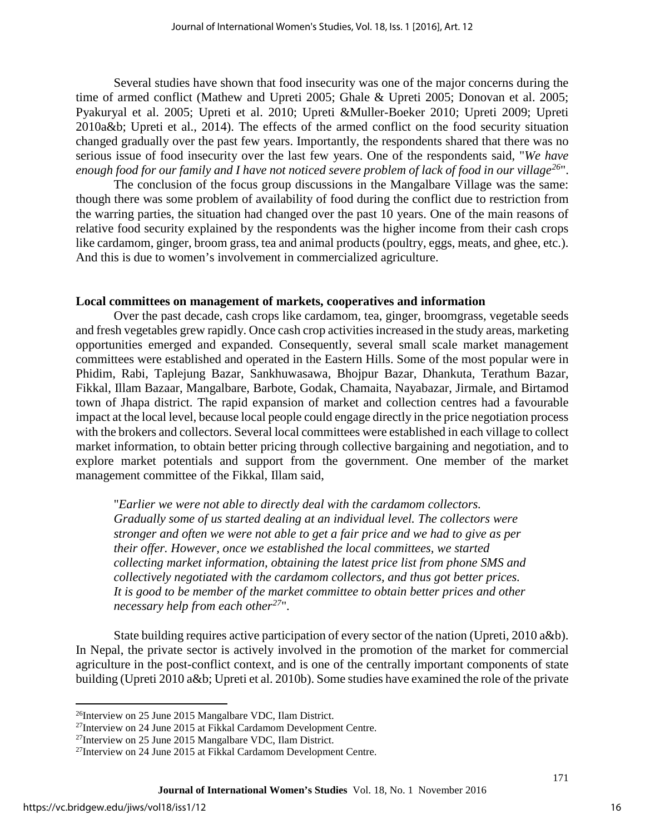Several studies have shown that food insecurity was one of the major concerns during the time of armed conflict (Mathew and Upreti 2005; Ghale & Upreti 2005; Donovan et al. 2005; Pyakuryal et al. 2005; Upreti et al. 2010; Upreti &Muller-Boeker 2010; Upreti 2009; Upreti 2010a&b; Upreti et al., 2014). The effects of the armed conflict on the food security situation changed gradually over the past few years. Importantly, the respondents shared that there was no serious issue of food insecurity over the last few years. One of the respondents said, "*We have enough food for our family and I have not noticed severe problem of lack of food in our village[26](#page-16-0)*".

The conclusion of the focus group discussions in the Mangalbare Village was the same: though there was some problem of availability of food during the conflict due to restriction from the warring parties, the situation had changed over the past 10 years. One of the main reasons of relative food security explained by the respondents was the higher income from their cash crops like cardamom, ginger, broom grass, tea and animal products (poultry, eggs, meats, and ghee, etc.). And this is due to women's involvement in commercialized agriculture.

#### **Local committees on management of markets, cooperatives and information**

Over the past decade, cash crops like cardamom, tea, ginger, broomgrass, vegetable seeds and fresh vegetables grew rapidly. Once cash crop activities increased in the study areas, marketing opportunities emerged and expanded. Consequently, several small scale market management committees were established and operated in the Eastern Hills. Some of the most popular were in Phidim, Rabi, Taplejung Bazar, Sankhuwasawa, Bhojpur Bazar, Dhankuta, Terathum Bazar, Fikkal, Illam Bazaar, Mangalbare, Barbote, Godak, Chamaita, Nayabazar, Jirmale, and Birtamod town of Jhapa district. The rapid expansion of market and collection centres had a favourable impact at the local level, because local people could engage directly in the price negotiation process with the brokers and collectors. Several local committees were established in each village to collect market information, to obtain better pricing through collective bargaining and negotiation, and to explore market potentials and support from the government. One member of the market management committee of the Fikkal, Illam said,

"*Earlier we were not able to directly deal with the cardamom collectors. Gradually some of us started dealing at an individual level. The collectors were stronger and often we were not able to get a fair price and we had to give as per their offer. However, once we established the local committees, we started collecting market information, obtaining the latest price list from phone SMS and collectively negotiated with the cardamom collectors, and thus got better prices. It is good to be member of the market committee to obtain better prices and other necessary help from each other[27](#page-16-1)*".

State building requires active participation of every sector of the nation (Upreti, 2010 a&b). In Nepal, the private sector is actively involved in the promotion of the market for commercial agriculture in the post-conflict context, and is one of the centrally important components of state building (Upreti 2010 a&b; Upreti et al. 2010b). Some studies have examined the role of the private

l

<span id="page-16-0"></span><sup>&</sup>lt;sup>26</sup>Interview on 25 June 2015 Mangalbare VDC, Ilam District.

<span id="page-16-1"></span><sup>27</sup>Interview on 24 June 2015 at Fikkal Cardamom Development Centre.

<sup>27</sup>Interview on 25 June 2015 Mangalbare VDC, Ilam District.

<sup>27</sup>Interview on 24 June 2015 at Fikkal Cardamom Development Centre.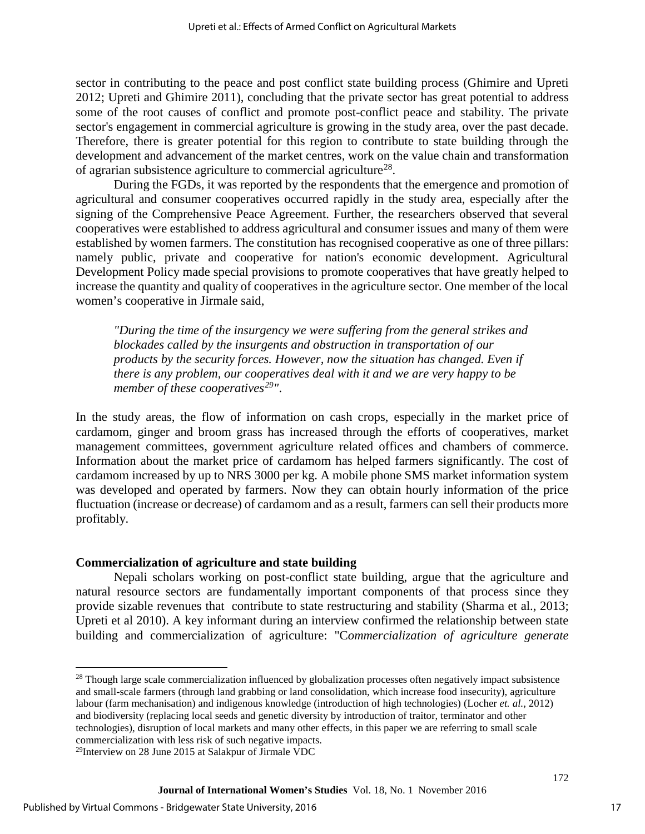sector in contributing to the peace and post conflict state building process (Ghimire and Upreti 2012; Upreti and Ghimire 2011), concluding that the private sector has great potential to address some of the root causes of conflict and promote post-conflict peace and stability. The private sector's engagement in commercial agriculture is growing in the study area, over the past decade. Therefore, there is greater potential for this region to contribute to state building through the development and advancement of the market centres, work on the value chain and transformation of agrarian subsistence agriculture to commercial agriculture<sup>28</sup>.

During the FGDs, it was reported by the respondents that the emergence and promotion of agricultural and consumer cooperatives occurred rapidly in the study area, especially after the signing of the Comprehensive Peace Agreement. Further, the researchers observed that several cooperatives were established to address agricultural and consumer issues and many of them were established by women farmers. The constitution has recognised cooperative as one of three pillars: namely public, private and cooperative for nation's economic development. Agricultural Development Policy made special provisions to promote cooperatives that have greatly helped to increase the quantity and quality of cooperatives in the agriculture sector. One member of the local women's cooperative in Jirmale said,

*"During the time of the insurgency we were suffering from the general strikes and blockades called by the insurgents and obstruction in transportation of our products by the security forces. However, now the situation has changed. Even if there is any problem, our cooperatives deal with it and we are very happy to be member of these cooperatives[29"](#page-17-1)*.

In the study areas, the flow of information on cash crops, especially in the market price of cardamom, ginger and broom grass has increased through the efforts of cooperatives, market management committees, government agriculture related offices and chambers of commerce. Information about the market price of cardamom has helped farmers significantly. The cost of cardamom increased by up to NRS 3000 per kg. A mobile phone SMS market information system was developed and operated by farmers. Now they can obtain hourly information of the price fluctuation (increase or decrease) of cardamom and as a result, farmers can sell their products more profitably.

#### **Commercialization of agriculture and state building**

Nepali scholars working on post-conflict state building, argue that the agriculture and natural resource sectors are fundamentally important components of that process since they provide sizable revenues that contribute to state restructuring and stability (Sharma et al., 2013; Upreti et al 2010). A key informant during an interview confirmed the relationship between state building and commercialization of agriculture: "C*ommercialization of agriculture generate* 

l

<span id="page-17-0"></span><sup>&</sup>lt;sup>28</sup> Though large scale commercialization influenced by globalization processes often negatively impact subsistence and small-scale farmers (through land grabbing or land consolidation, which increase food insecurity), agriculture labour (farm mechanisation) and indigenous knowledge (introduction of high technologies) (Locher *et. al.,* 2012) and biodiversity (replacing local seeds and genetic diversity by introduction of traitor, terminator and other technologies), disruption of local markets and many other effects, in this paper we are referring to small scale commercialization with less risk of such negative impacts. 29Interview on 28 June 2015 at Salakpur of Jirmale VDC

<span id="page-17-1"></span>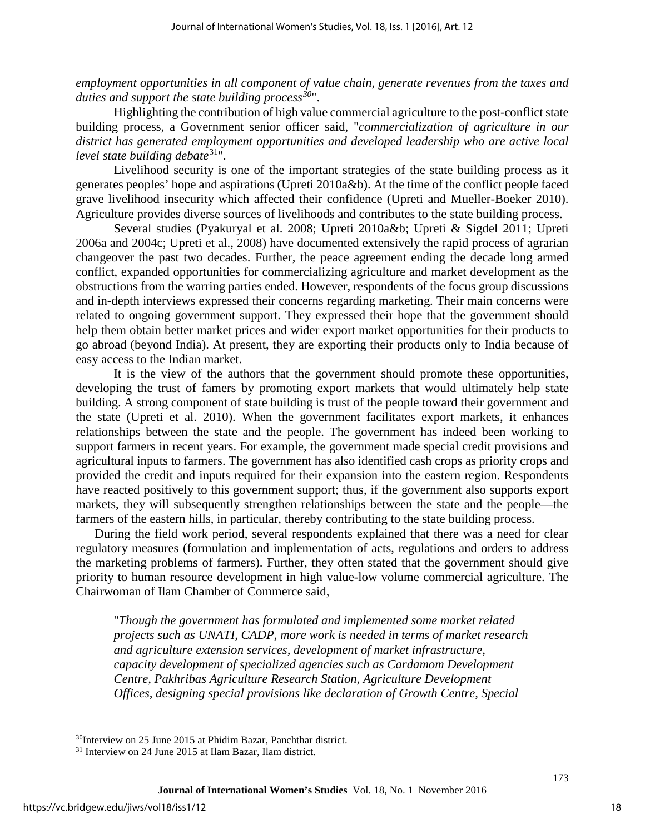*employment opportunities in all component of value chain, generate revenues from the taxes and duties and support the state building process[30](#page-18-0)*".

Highlighting the contribution of high value commercial agriculture to the post-conflict state building process, a Government senior officer said, "*commercialization of agriculture in our district has generated employment opportunities and developed leadership who are active local level state building debate*[31](#page-18-1)".

Livelihood security is one of the important strategies of the state building process as it generates peoples' hope and aspirations (Upreti 2010a&b). At the time of the conflict people faced grave livelihood insecurity which affected their confidence (Upreti and Mueller-Boeker 2010). Agriculture provides diverse sources of livelihoods and contributes to the state building process.

Several studies (Pyakuryal et al. 2008; Upreti 2010a&b; Upreti & Sigdel 2011; Upreti 2006a and 2004c; Upreti et al., 2008) have documented extensively the rapid process of agrarian changeover the past two decades. Further, the peace agreement ending the decade long armed conflict, expanded opportunities for commercializing agriculture and market development as the obstructions from the warring parties ended. However, respondents of the focus group discussions and in-depth interviews expressed their concerns regarding marketing. Their main concerns were related to ongoing government support. They expressed their hope that the government should help them obtain better market prices and wider export market opportunities for their products to go abroad (beyond India). At present, they are exporting their products only to India because of easy access to the Indian market.

It is the view of the authors that the government should promote these opportunities, developing the trust of famers by promoting export markets that would ultimately help state building. A strong component of state building is trust of the people toward their government and the state (Upreti et al. 2010). When the government facilitates export markets, it enhances relationships between the state and the people. The government has indeed been working to support farmers in recent years. For example, the government made special credit provisions and agricultural inputs to farmers. The government has also identified cash crops as priority crops and provided the credit and inputs required for their expansion into the eastern region. Respondents have reacted positively to this government support; thus, if the government also supports export markets, they will subsequently strengthen relationships between the state and the people—the farmers of the eastern hills, in particular, thereby contributing to the state building process.

During the field work period, several respondents explained that there was a need for clear regulatory measures (formulation and implementation of acts, regulations and orders to address the marketing problems of farmers). Further, they often stated that the government should give priority to human resource development in high value-low volume commercial agriculture. The Chairwoman of Ilam Chamber of Commerce said,

"*Though the government has formulated and implemented some market related projects such as UNATI, CADP, more work is needed in terms of market research and agriculture extension services, development of market infrastructure, capacity development of specialized agencies such as Cardamom Development Centre, Pakhribas Agriculture Research Station, Agriculture Development Offices, designing special provisions like declaration of Growth Centre, Special* 

l

<span id="page-18-0"></span><sup>30</sup>Interview on 25 June 2015 at Phidim Bazar, Panchthar district.

<span id="page-18-1"></span><sup>31</sup> Interview on 24 June 2015 at Ilam Bazar, Ilam district.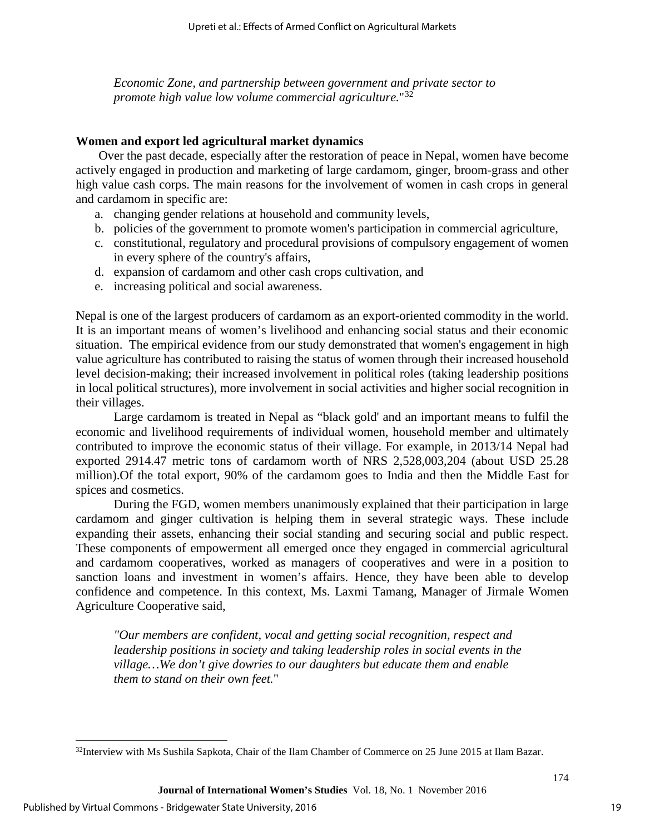*Economic Zone, and partnership between government and private sector to promote high value low volume commercial agriculture.*"[32](#page-19-0)

#### **Women and export led agricultural market dynamics**

Over the past decade, especially after the restoration of peace in Nepal, women have become actively engaged in production and marketing of large cardamom, ginger, broom-grass and other high value cash corps. The main reasons for the involvement of women in cash crops in general and cardamom in specific are:

- a. changing gender relations at household and community levels,
- b. policies of the government to promote women's participation in commercial agriculture,
- c. constitutional, regulatory and procedural provisions of compulsory engagement of women in every sphere of the country's affairs,
- d. expansion of cardamom and other cash crops cultivation, and
- e. increasing political and social awareness.

Nepal is one of the largest producers of cardamom as an export-oriented commodity in the world. It is an important means of women's livelihood and enhancing social status and their economic situation. The empirical evidence from our study demonstrated that women's engagement in high value agriculture has contributed to raising the status of women through their increased household level decision-making; their increased involvement in political roles (taking leadership positions in local political structures), more involvement in social activities and higher social recognition in their villages.

Large cardamom is treated in Nepal as "black gold' and an important means to fulfil the economic and livelihood requirements of individual women, household member and ultimately contributed to improve the economic status of their village. For example, in 2013/14 Nepal had exported 2914.47 metric tons of cardamom worth of NRS 2,528,003,204 (about USD 25.28 million).Of the total export, 90% of the cardamom goes to India and then the Middle East for spices and cosmetics.

During the FGD, women members unanimously explained that their participation in large cardamom and ginger cultivation is helping them in several strategic ways. These include expanding their assets, enhancing their social standing and securing social and public respect. These components of empowerment all emerged once they engaged in commercial agricultural and cardamom cooperatives, worked as managers of cooperatives and were in a position to sanction loans and investment in women's affairs. Hence, they have been able to develop confidence and competence. In this context, Ms. Laxmi Tamang, Manager of Jirmale Women Agriculture Cooperative said,

*"Our members are confident, vocal and getting social recognition, respect and leadership positions in society and taking leadership roles in social events in the village…We don't give dowries to our daughters but educate them and enable them to stand on their own feet.*"

l

<span id="page-19-0"></span><sup>&</sup>lt;sup>32</sup>Interview with Ms Sushila Sapkota, Chair of the Ilam Chamber of Commerce on 25 June 2015 at Ilam Bazar.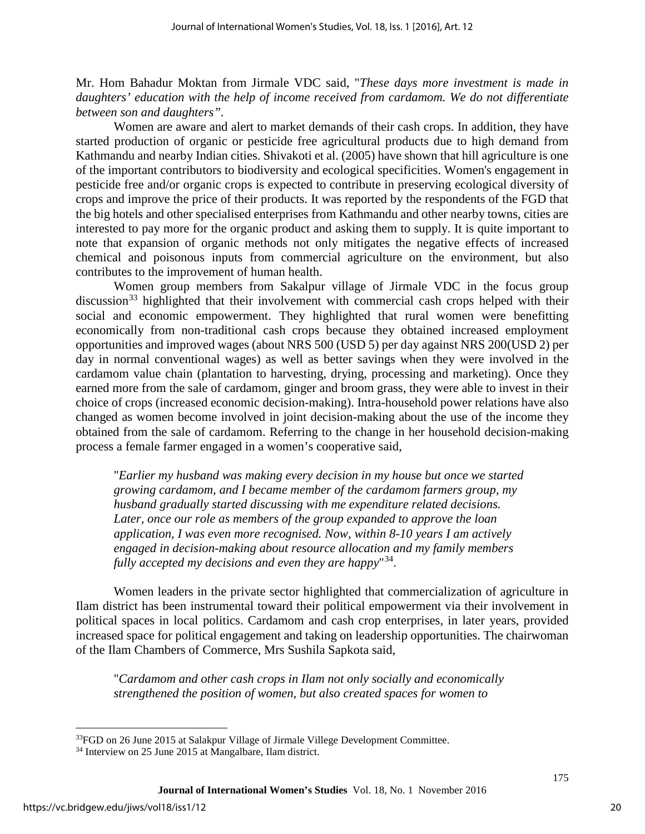Mr. Hom Bahadur Moktan from Jirmale VDC said, "*These days more investment is made in daughters' education with the help of income received from cardamom. We do not differentiate between son and daughters".* 

Women are aware and alert to market demands of their cash crops. In addition, they have started production of organic or pesticide free agricultural products due to high demand from Kathmandu and nearby Indian cities. Shivakoti et al. (2005) have shown that hill agriculture is one of the important contributors to biodiversity and ecological specificities. Women's engagement in pesticide free and/or organic crops is expected to contribute in preserving ecological diversity of crops and improve the price of their products. It was reported by the respondents of the FGD that the big hotels and other specialised enterprises from Kathmandu and other nearby towns, cities are interested to pay more for the organic product and asking them to supply. It is quite important to note that expansion of organic methods not only mitigates the negative effects of increased chemical and poisonous inputs from commercial agriculture on the environment, but also contributes to the improvement of human health.

Women group members from Sakalpur village of Jirmale VDC in the focus group discussion<sup>[33](#page-20-0)</sup> highlighted that their involvement with commercial cash crops helped with their social and economic empowerment. They highlighted that rural women were benefitting economically from non-traditional cash crops because they obtained increased employment opportunities and improved wages (about NRS 500 (USD 5) per day against NRS 200(USD 2) per day in normal conventional wages) as well as better savings when they were involved in the cardamom value chain (plantation to harvesting, drying, processing and marketing). Once they earned more from the sale of cardamom, ginger and broom grass, they were able to invest in their choice of crops (increased economic decision-making). Intra-household power relations have also changed as women become involved in joint decision-making about the use of the income they obtained from the sale of cardamom. Referring to the change in her household decision-making process a female farmer engaged in a women's cooperative said,

"*Earlier my husband was making every decision in my house but once we started growing cardamom, and I became member of the cardamom farmers group, my husband gradually started discussing with me expenditure related decisions. Later, once our role as members of the group expanded to approve the loan application, I was even more recognised. Now, within 8-10 years I am actively engaged in decision-making about resource allocation and my family members fully accepted my decisions and even they are happy*"[34](#page-20-1).

Women leaders in the private sector highlighted that commercialization of agriculture in Ilam district has been instrumental toward their political empowerment via their involvement in political spaces in local politics. Cardamom and cash crop enterprises, in later years, provided increased space for political engagement and taking on leadership opportunities. The chairwoman of the Ilam Chambers of Commerce, Mrs Sushila Sapkota said,

"*Cardamom and other cash crops in Ilam not only socially and economically strengthened the position of women, but also created spaces for women to* 

l

<span id="page-20-0"></span><sup>&</sup>lt;sup>33</sup>FGD on 26 June 2015 at Salakpur Village of Jirmale Villege Development Committee.

<span id="page-20-1"></span><sup>34</sup> Interview on 25 June 2015 at Mangalbare, Ilam district.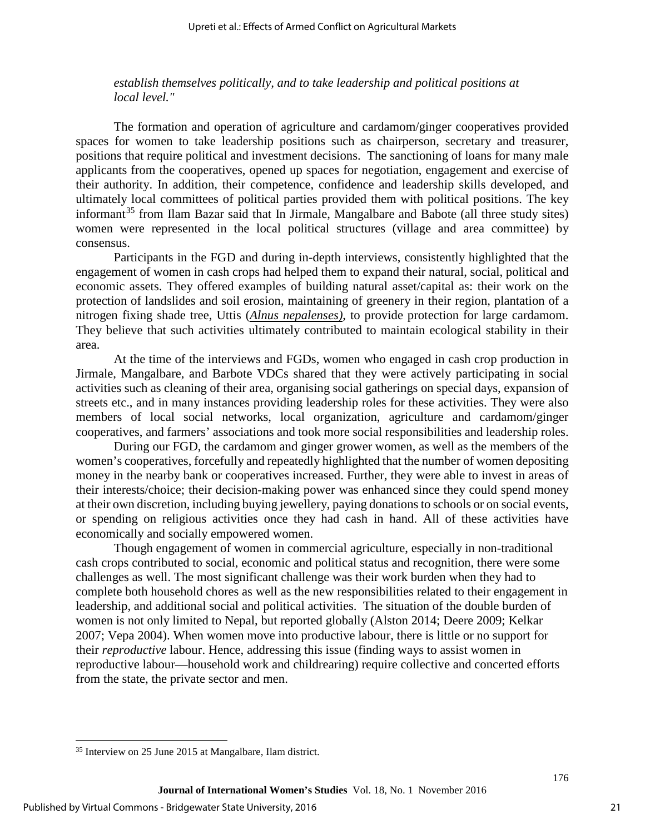*establish themselves politically, and to take leadership and political positions at local level."*

The formation and operation of agriculture and cardamom/ginger cooperatives provided spaces for women to take leadership positions such as chairperson, secretary and treasurer, positions that require political and investment decisions. The sanctioning of loans for many male applicants from the cooperatives, opened up spaces for negotiation, engagement and exercise of their authority. In addition, their competence, confidence and leadership skills developed, and ultimately local committees of political parties provided them with political positions. The key informant<sup>[35](#page-21-0)</sup> from Ilam Bazar said that In Jirmale, Mangalbare and Babote (all three study sites) women were represented in the local political structures (village and area committee) by consensus.

Participants in the FGD and during in-depth interviews, consistently highlighted that the engagement of women in cash crops had helped them to expand their natural, social, political and economic assets. They offered examples of building natural asset/capital as: their work on the protection of landslides and soil erosion, maintaining of greenery in their region, plantation of a nitrogen fixing shade tree, Uttis (*Alnus nepalenses)*, to provide protection for large cardamom. They believe that such activities ultimately contributed to maintain ecological stability in their area.

At the time of the interviews and FGDs, women who engaged in cash crop production in Jirmale, Mangalbare, and Barbote VDCs shared that they were actively participating in social activities such as cleaning of their area, organising social gatherings on special days, expansion of streets etc., and in many instances providing leadership roles for these activities. They were also members of local social networks, local organization, agriculture and cardamom/ginger cooperatives, and farmers' associations and took more social responsibilities and leadership roles.

During our FGD, the cardamom and ginger grower women, as well as the members of the women's cooperatives, forcefully and repeatedly highlighted that the number of women depositing money in the nearby bank or cooperatives increased. Further, they were able to invest in areas of their interests/choice; their decision-making power was enhanced since they could spend money at their own discretion, including buying jewellery, paying donations to schools or on social events, or spending on religious activities once they had cash in hand. All of these activities have economically and socially empowered women.

Though engagement of women in commercial agriculture, especially in non-traditional cash crops contributed to social, economic and political status and recognition, there were some challenges as well. The most significant challenge was their work burden when they had to complete both household chores as well as the new responsibilities related to their engagement in leadership, and additional social and political activities. The situation of the double burden of women is not only limited to Nepal, but reported globally (Alston 2014; Deere 2009; Kelkar 2007; Vepa 2004). When women move into productive labour, there is little or no support for their *reproductive* labour. Hence, addressing this issue (finding ways to assist women in reproductive labour—household work and childrearing) require collective and concerted efforts from the state, the private sector and men.

l

<span id="page-21-0"></span><sup>35</sup> Interview on 25 June 2015 at Mangalbare, Ilam district.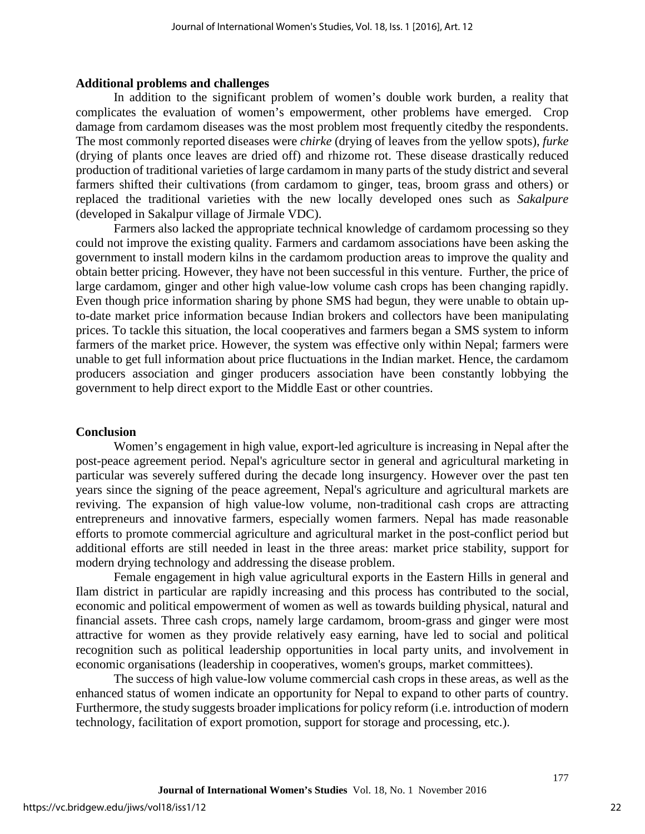#### **Additional problems and challenges**

In addition to the significant problem of women's double work burden, a reality that complicates the evaluation of women's empowerment, other problems have emerged. Crop damage from cardamom diseases was the most problem most frequently citedby the respondents. The most commonly reported diseases were *chirke* (drying of leaves from the yellow spots), *furke* (drying of plants once leaves are dried off) and rhizome rot. These disease drastically reduced production of traditional varieties of large cardamom in many parts of the study district and several farmers shifted their cultivations (from cardamom to ginger, teas, broom grass and others) or replaced the traditional varieties with the new locally developed ones such as *Sakalpure* (developed in Sakalpur village of Jirmale VDC).

Farmers also lacked the appropriate technical knowledge of cardamom processing so they could not improve the existing quality. Farmers and cardamom associations have been asking the government to install modern kilns in the cardamom production areas to improve the quality and obtain better pricing. However, they have not been successful in this venture. Further, the price of large cardamom, ginger and other high value-low volume cash crops has been changing rapidly. Even though price information sharing by phone SMS had begun, they were unable to obtain upto-date market price information because Indian brokers and collectors have been manipulating prices. To tackle this situation, the local cooperatives and farmers began a SMS system to inform farmers of the market price. However, the system was effective only within Nepal; farmers were unable to get full information about price fluctuations in the Indian market. Hence, the cardamom producers association and ginger producers association have been constantly lobbying the government to help direct export to the Middle East or other countries.

#### **Conclusion**

Women's engagement in high value, export-led agriculture is increasing in Nepal after the post-peace agreement period. Nepal's agriculture sector in general and agricultural marketing in particular was severely suffered during the decade long insurgency. However over the past ten years since the signing of the peace agreement, Nepal's agriculture and agricultural markets are reviving. The expansion of high value-low volume, non-traditional cash crops are attracting entrepreneurs and innovative farmers, especially women farmers. Nepal has made reasonable efforts to promote commercial agriculture and agricultural market in the post-conflict period but additional efforts are still needed in least in the three areas: market price stability, support for modern drying technology and addressing the disease problem.

Female engagement in high value agricultural exports in the Eastern Hills in general and Ilam district in particular are rapidly increasing and this process has contributed to the social, economic and political empowerment of women as well as towards building physical, natural and financial assets. Three cash crops, namely large cardamom, broom-grass and ginger were most attractive for women as they provide relatively easy earning, have led to social and political recognition such as political leadership opportunities in local party units, and involvement in economic organisations (leadership in cooperatives, women's groups, market committees).

The success of high value-low volume commercial cash crops in these areas, as well as the enhanced status of women indicate an opportunity for Nepal to expand to other parts of country. Furthermore, the study suggests broader implications for policy reform (i.e. introduction of modern technology, facilitation of export promotion, support for storage and processing, etc.).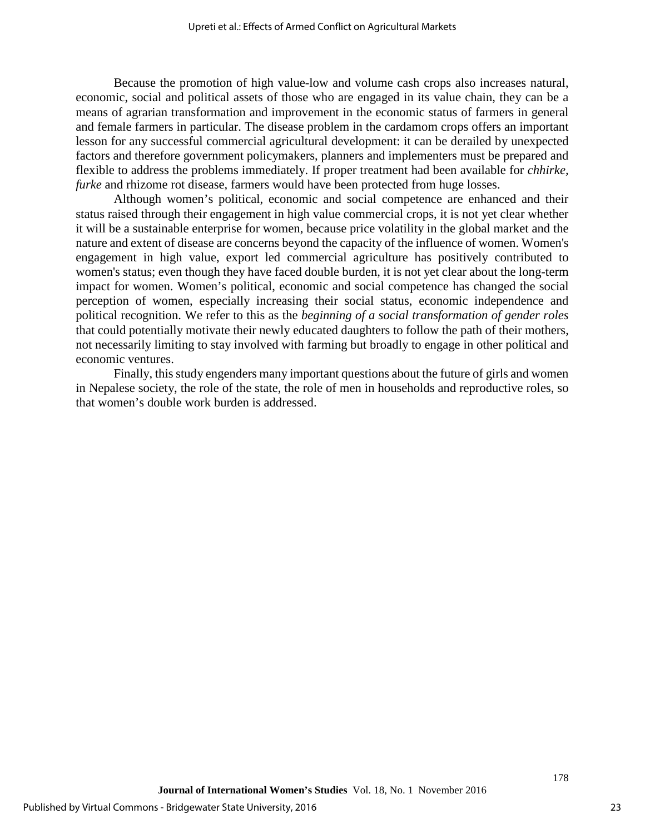Because the promotion of high value-low and volume cash crops also increases natural, economic, social and political assets of those who are engaged in its value chain, they can be a means of agrarian transformation and improvement in the economic status of farmers in general and female farmers in particular. The disease problem in the cardamom crops offers an important lesson for any successful commercial agricultural development: it can be derailed by unexpected factors and therefore government policymakers, planners and implementers must be prepared and flexible to address the problems immediately. If proper treatment had been available for *chhirke, furke* and rhizome rot disease, farmers would have been protected from huge losses.

Although women's political, economic and social competence are enhanced and their status raised through their engagement in high value commercial crops, it is not yet clear whether it will be a sustainable enterprise for women, because price volatility in the global market and the nature and extent of disease are concerns beyond the capacity of the influence of women. Women's engagement in high value, export led commercial agriculture has positively contributed to women's status; even though they have faced double burden, it is not yet clear about the long-term impact for women. Women's political, economic and social competence has changed the social perception of women, especially increasing their social status, economic independence and political recognition. We refer to this as the *beginning of a social transformation of gender roles* that could potentially motivate their newly educated daughters to follow the path of their mothers, not necessarily limiting to stay involved with farming but broadly to engage in other political and economic ventures.

Finally, this study engenders many important questions about the future of girls and women in Nepalese society, the role of the state, the role of men in households and reproductive roles, so that women's double work burden is addressed.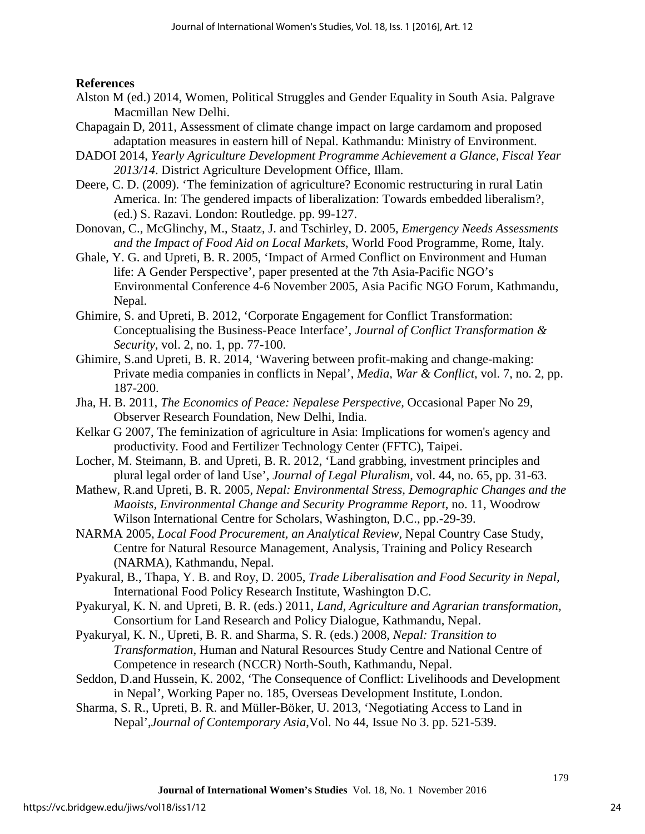#### **References**

- Alston M (ed.) 2014, Women, Political Struggles and Gender Equality in South Asia. Palgrave Macmillan New Delhi.
- Chapagain D, 2011, Assessment of climate change impact on large cardamom and proposed adaptation measures in eastern hill of Nepal. Kathmandu: Ministry of Environment.
- DADOI 2014, *Yearly Agriculture Development Programme Achievement a Glance, Fiscal Year 2013/14*. District Agriculture Development Office, Illam.
- Deere, C. D. (2009). 'The feminization of agriculture? Economic restructuring in rural Latin America. In: The gendered impacts of liberalization: Towards embedded liberalism?, (ed.) S. Razavi. London: Routledge. pp. 99-127.
- Donovan, C., McGlinchy, M., Staatz, J. and Tschirley, D. 2005, *Emergency Needs Assessments and the Impact of Food Aid on Local Markets*, World Food Programme, Rome, Italy.
- Ghale, Y. G. and Upreti, B. R. 2005, 'Impact of Armed Conflict on Environment and Human life: A Gender Perspective', paper presented at the 7th Asia-Pacific NGO's Environmental Conference 4-6 November 2005, Asia Pacific NGO Forum, Kathmandu, Nepal.
- Ghimire, S. and Upreti, B. 2012, 'Corporate Engagement for Conflict Transformation: Conceptualising the Business-Peace Interface', *Journal of Conflict Transformation & Security*, vol. 2, no. 1, pp. 77-100.
- Ghimire, S.and Upreti, B. R. 2014, ['Wavering between profit-making and change-making:](http://mwc.sagepub.com/content/7/2/187.short)  [Private media companies in conflicts in Nepal',](http://mwc.sagepub.com/content/7/2/187.short) *Media, War & Conflict*, vol. 7, no. 2, pp. 187-200.
- Jha, H. B. 2011, *The Economics of Peace: Nepalese Perspective,* Occasional Paper No 29, Observer Research Foundation, New Delhi, India.
- Kelkar G 2007, The feminization of agriculture in Asia: Implications for women's agency and productivity. Food and Fertilizer Technology Center (FFTC), Taipei.
- Locher, M. Steimann, B. and Upreti, B. R. 2012, 'Land grabbing, investment principles and plural legal order of land Use', *Journal of Legal Pluralism,* vol. 44, no. 65, pp. 31-63.
- Mathew, R.and Upreti, B. R. 2005, *Nepal: Environmental Stress, Demographic Changes and the Maoists, Environmental Change and Security Programme Report*, no. 11, Woodrow Wilson International Centre for Scholars, Washington, D.C., pp.-29-39.
- NARMA 2005, *Local Food Procurement, an Analytical Review,* Nepal Country Case Study, Centre for Natural Resource Management, Analysis, Training and Policy Research (NARMA), Kathmandu, Nepal.
- Pyakural, B., Thapa, Y. B. and Roy, D. 2005, *Trade Liberalisation and Food Security in Nepal,*  International Food Policy Research Institute, Washington D.C.
- Pyakuryal, K. N. and Upreti, B. R. (eds.) 2011, *Land, Agriculture and Agrarian transformation,* Consortium for Land Research and Policy Dialogue, Kathmandu, Nepal.
- Pyakuryal, K. N., Upreti, B. R. and Sharma, S. R. (eds.) 2008, *Nepal: Transition to Transformation,* Human and Natural Resources Study Centre and National Centre of Competence in research (NCCR) North-South, Kathmandu, Nepal.
- Seddon, D.and Hussein, K. 2002, 'The Consequence of Conflict: Livelihoods and Development in Nepal', Working Paper no. 185, Overseas Development Institute, London.
- Sharma, S. R., Upreti, B. R. and Müller-Böker, U. 2013, 'Negotiating Access to Land in Nepal',*Journal of Contemporary Asia*,Vol. No 44, Issue No 3. pp. 521-539.